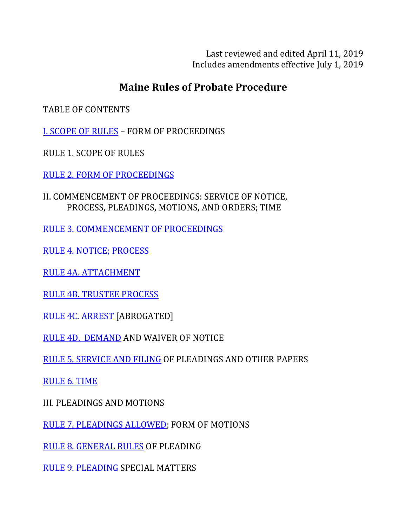Last reviewed and edited April 11, 2019 Includes amendments effective July 1, 2019

# **Maine Rules of Probate Procedure**

TABLE OF CONTENTS

**I. SCOPE OF RULES - FORM OF PROCEEDINGS** 

RULE 1. SCOPE OF RULES

RULE 2. FORM OF PROCEEDINGS

II. COMMENCEMENT OF PROCEEDINGS: SERVICE OF NOTICE, PROCESS, PLEADINGS, MOTIONS, AND ORDERS; TIME

RULE 3. COMMENCEMENT OF PROCEEDINGS

RULE 4. NOTICE; PROCESS

RULE 4A. ATTACHMENT

RULE 4B. TRUSTEE PROCESS

RULE 4C. ARREST [ABROGATED]

RULE 4D. DEMAND AND WAIVER OF NOTICE

RULE 5. SERVICE AND FILING OF PLEADINGS AND OTHER PAPERS

**RULE 6. TIME** 

**III. PLEADINGS AND MOTIONS** 

RULE 7. PLEADINGS ALLOWED; FORM OF MOTIONS

RULE 8. GENERAL RULES OF PLEADING

RULE 9. PLEADING SPECIAL MATTERS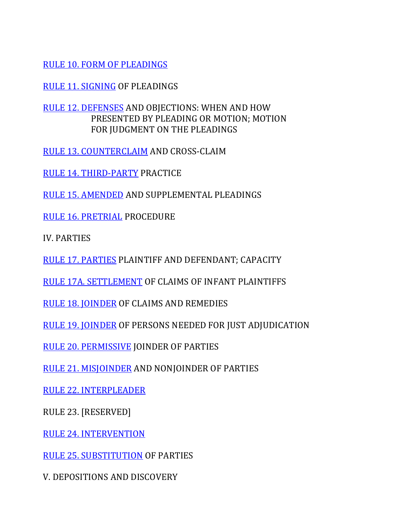RULE 10. FORM OF PLEADINGS

RULE 11. SIGNING OF PLEADINGS

RULE 12. DEFENSES AND OBJECTIONS: WHEN AND HOW PRESENTED BY PLEADING OR MOTION; MOTION FOR IUDGMENT ON THE PLEADINGS

RULE 13. COUNTERCLAIM AND CROSS-CLAIM

RULE 14. THIRD-PARTY PRACTICE

RULE 15. AMENDED AND SUPPLEMENTAL PLEADINGS

RULE 16. PRETRIAL PROCEDURE

IV. PARTIES

RULE 17. PARTIES PLAINTIFF AND DEFENDANT; CAPACITY

RULE 17A. SETTLEMENT OF CLAIMS OF INFANT PLAINTIFFS

RULE 18. JOINDER OF CLAIMS AND REMEDIES

RULE 19. JOINDER OF PERSONS NEEDED FOR JUST ADJUDICATION

RULE 20. PERMISSIVE JOINDER OF PARTIES

RULE 21. MISJOINDER AND NONJOINDER OF PARTIES

RULE 22. INTERPLEADER

RULE 23. [RESERVED]

RULE 24. INTERVENTION

RULE 25. SUBSTITUTION OF PARTIES

V. DEPOSITIONS AND DISCOVERY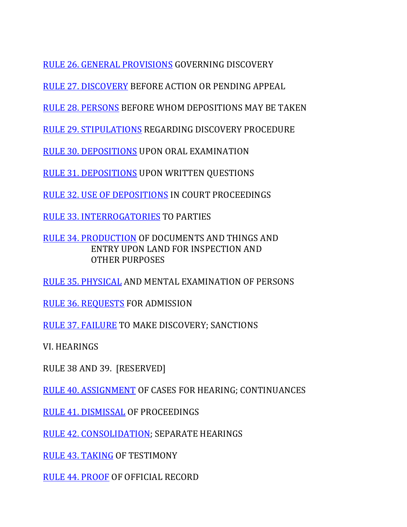RULE 26. GENERAL PROVISIONS GOVERNING DISCOVERY

RULE 27. DISCOVERY BEFORE ACTION OR PENDING APPEAL

RULE 28. PERSONS BEFORE WHOM DEPOSITIONS MAY BE TAKEN

RULE 29. STIPULATIONS REGARDING DISCOVERY PROCEDURE

RULE 30. DEPOSITIONS UPON ORAL EXAMINATION

RULE 31. DEPOSITIONS UPON WRITTEN QUESTIONS

RULE 32. USE OF DEPOSITIONS IN COURT PROCEEDINGS

RULE 33. INTERROGATORIES TO PARTIES

RULE 34. PRODUCTION OF DOCUMENTS AND THINGS AND ENTRY UPON LAND FOR INSPECTION AND OTHER PURPOSES

RULE 35. PHYSICAL AND MENTAL EXAMINATION OF PERSONS

RULE 36. REQUESTS FOR ADMISSION

RULE 37. FAILURE TO MAKE DISCOVERY; SANCTIONS

VI. HEARINGS

RULE 38 AND 39. [RESERVED]

RULE 40. ASSIGNMENT OF CASES FOR HEARING; CONTINUANCES

RULE 41. DISMISSAL OF PROCEEDINGS

RULE 42. CONSOLIDATION; SEPARATE HEARINGS

RULE 43. TAKING OF TESTIMONY

RULE 44. PROOF OF OFFICIAL RECORD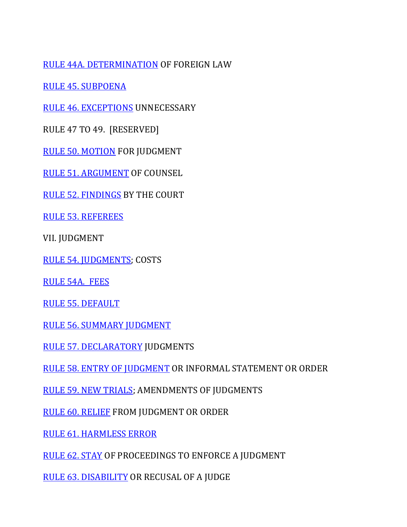RULE 44A. DETERMINATION OF FOREIGN LAW

RULE 45. SUBPOENA

RULE 46. EXCEPTIONS UNNECESSARY

RULE 47 TO 49. [RESERVED]

RULE 50. MOTION FOR JUDGMENT

RULE 51. ARGUMENT OF COUNSEL

RULE 52. FINDINGS BY THE COURT

RULE 53. REFEREES

VII. JUDGMENT

RULE 54. JUDGMENTS; COSTS

RULE 54A. FEES

RULE 55. DEFAULT

RULE 56. SUMMARY JUDGMENT

RULE 57. DECLARATORY JUDGMENTS

RULE 58. ENTRY OF JUDGMENT OR INFORMAL STATEMENT OR ORDER

RULE 59. NEW TRIALS; AMENDMENTS OF JUDGMENTS

RULE 60. RELIEF FROM JUDGMENT OR ORDER

**RULE 61. HARMLESS ERROR** 

RULE 62. STAY OF PROCEEDINGS TO ENFORCE A JUDGMENT

RULE 63. DISABILITY OR RECUSAL OF A JUDGE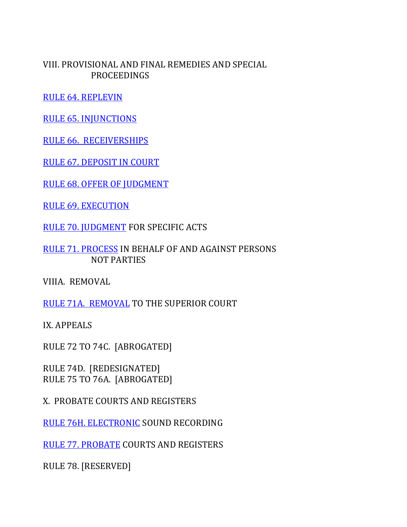VIII. PROVISIONAL AND FINAL REMEDIES AND SPECIAL PROCEEDINGS

RULE 64. REPLEVIN

**RULE 65. INJUNCTIONS** 

RULE 66. RECEIVERSHIPS

RULE 67. DEPOSIT IN COURT

**RULE 68. OFFER OF JUDGMENT** 

**RULE 69. EXECUTION** 

RULE 70. JUDGMENT FOR SPECIFIC ACTS

RULE 71. PROCESS IN BEHALF OF AND AGAINST PERSONS NOT PARTIES

VIIIA. REMOVAL

RULE 71A. REMOVAL TO THE SUPERIOR COURT

IX. APPEALS

RULE 72 TO 74C. [ABROGATED]

RULE 74D. [REDESIGNATED] RULE 75 TO 76A. [ABROGATED]

X. PROBATE COURTS AND REGISTERS

RULE 76H. ELECTRONIC SOUND RECORDING

RULE 77. PROBATE COURTS AND REGISTERS

RULE 78. [RESERVED]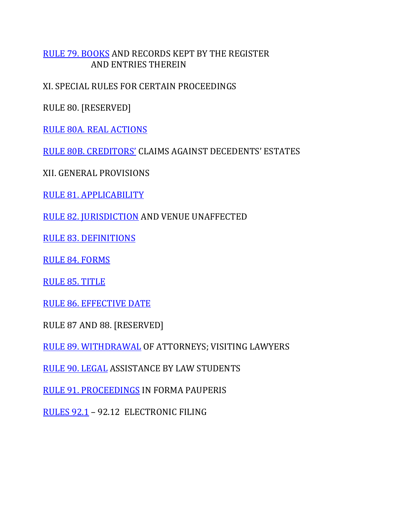## RULE 79. BOOKS AND RECORDS KEPT BY THE REGISTER **AND ENTRIES THEREIN**

XI. SPECIAL RULES FOR CERTAIN PROCEEDINGS

RULE 80. [RESERVED]

RULE 80A. REAL ACTIONS

RULE 80B. CREDITORS' CLAIMS AGAINST DECEDENTS' ESTATES

XII. GENERAL PROVISIONS

RULE 81. APPLICABILITY

RULE 82. JURISDICTION AND VENUE UNAFFECTED

RULE 83. DEFINITIONS

**RULE 84. FORMS** 

RULE 85. TITLE

RULE 86. EFFECTIVE DATE

RULE 87 AND 88. [RESERVED]

RULE 89. WITHDRAWAL OF ATTORNEYS; VISITING LAWYERS

RULE 90. LEGAL ASSISTANCE BY LAW STUDENTS

RULE 91. PROCEEDINGS IN FORMA PAUPERIS

RULES 92.1 - 92.12 ELECTRONIC FILING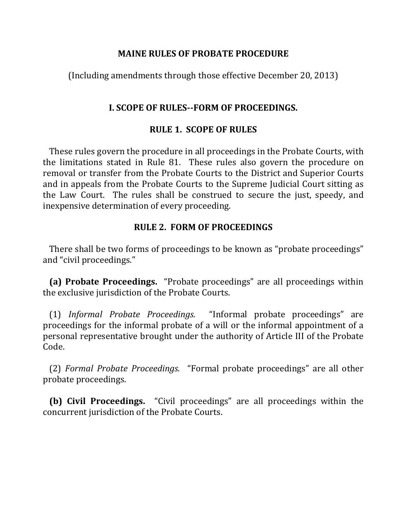#### **MAINE RULES OF PROBATE PROCEDURE**

(Including amendments through those effective December 20, 2013)

# **I. SCOPE OF RULES--FORM OF PROCEEDINGS.**

# **RULE 1. SCOPE OF RULES**

These rules govern the procedure in all proceedings in the Probate Courts, with the limitations stated in Rule 81. These rules also govern the procedure on removal or transfer from the Probate Courts to the District and Superior Courts and in appeals from the Probate Courts to the Supreme Judicial Court sitting as the Law Court. The rules shall be construed to secure the just, speedy, and inexpensive determination of every proceeding.

# **RULE 2. FORM OF PROCEEDINGS**

There shall be two forms of proceedings to be known as "probate proceedings" and "civil proceedings."

**(a) Probate Proceedings.** "Probate proceedings" are all proceedings within the exclusive jurisdiction of the Probate Courts.

 (1) *Informal Probate Proceedings.* "Informal probate proceedings" are proceedings for the informal probate of a will or the informal appointment of a personal representative brought under the authority of Article III of the Probate Code.

(2) Formal Probate Proceedings. "Formal probate proceedings" are all other probate proceedings.

**(b) Civil Proceedings.** "Civil proceedings" are all proceedings within the concurrent jurisdiction of the Probate Courts.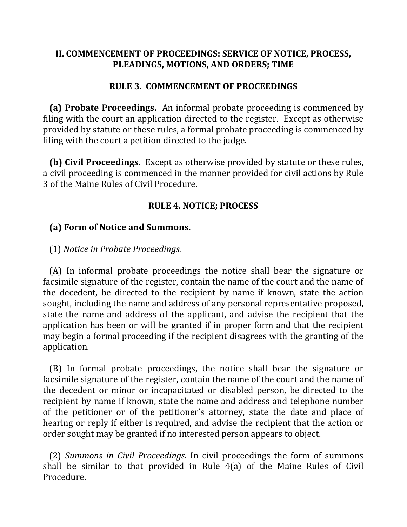## II. COMMENCEMENT OF PROCEEDINGS: SERVICE OF NOTICE, PROCESS, **PLEADINGS, MOTIONS, AND ORDERS; TIME**

### **RULE 3. COMMENCEMENT OF PROCEEDINGS**

**(a) Probate Proceedings.** An informal probate proceeding is commenced by filing with the court an application directed to the register. Except as otherwise provided by statute or these rules, a formal probate proceeding is commenced by filing with the court a petition directed to the judge.

**(b) Civil Proceedings.** Except as otherwise provided by statute or these rules, a civil proceeding is commenced in the manner provided for civil actions by Rule 3 of the Maine Rules of Civil Procedure.

### **RULE 4. NOTICE; PROCESS**

# **(a) Form of Notice and Summons.**

### (1) *Notice in Probate Proceedings.*

(A) In informal probate proceedings the notice shall bear the signature or facsimile signature of the register, contain the name of the court and the name of the decedent, be directed to the recipient by name if known, state the action sought, including the name and address of any personal representative proposed, state the name and address of the applicant, and advise the recipient that the application has been or will be granted if in proper form and that the recipient may begin a formal proceeding if the recipient disagrees with the granting of the application.

(B) In formal probate proceedings, the notice shall bear the signature or facsimile signature of the register, contain the name of the court and the name of the decedent or minor or incapacitated or disabled person, be directed to the recipient by name if known, state the name and address and telephone number of the petitioner or of the petitioner's attorney, state the date and place of hearing or reply if either is required, and advise the recipient that the action or order sought may be granted if no interested person appears to object.

(2) *Summons in Civil Proceedings.* In civil proceedings the form of summons shall be similar to that provided in Rule  $4(a)$  of the Maine Rules of Civil Procedure.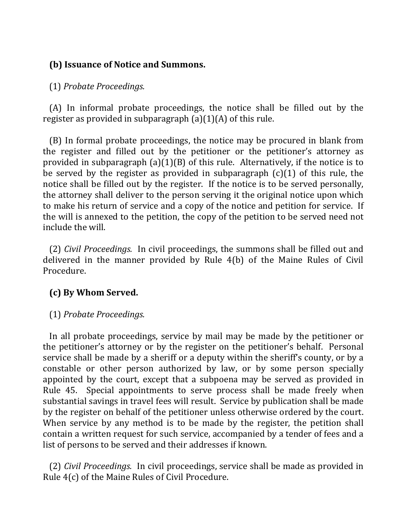# **(b) Issuance of Notice and Summons.**

# (1) *Probate Proceedings.*

(A) In informal probate proceedings, the notice shall be filled out by the register as provided in subparagraph  $(a)(1)(A)$  of this rule.

(B) In formal probate proceedings, the notice may be procured in blank from the register and filled out by the petitioner or the petitioner's attorney as provided in subparagraph  $(a)(1)(B)$  of this rule. Alternatively, if the notice is to be served by the register as provided in subparagraph  $(c)(1)$  of this rule, the notice shall be filled out by the register. If the notice is to be served personally, the attorney shall deliver to the person serving it the original notice upon which to make his return of service and a copy of the notice and petition for service. If the will is annexed to the petition, the copy of the petition to be served need not include the will.

(2) *Civil Proceedings.* In civil proceedings, the summons shall be filled out and delivered in the manner provided by Rule  $4(b)$  of the Maine Rules of Civil Procedure.

# **(c) By Whom Served.**

# (1) *Probate Proceedings.*

In all probate proceedings, service by mail may be made by the petitioner or the petitioner's attorney or by the register on the petitioner's behalf. Personal service shall be made by a sheriff or a deputy within the sheriff's county, or by a constable or other person authorized by law, or by some person specially appointed by the court, except that a subpoena may be served as provided in Rule 45. Special appointments to serve process shall be made freely when substantial savings in travel fees will result. Service by publication shall be made by the register on behalf of the petitioner unless otherwise ordered by the court. When service by any method is to be made by the register, the petition shall contain a written request for such service, accompanied by a tender of fees and a list of persons to be served and their addresses if known.

(2) *Civil Proceedings.* In civil proceedings, service shall be made as provided in Rule  $4(c)$  of the Maine Rules of Civil Procedure.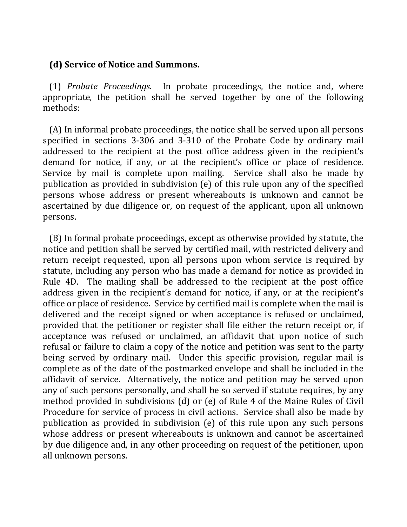#### **(d)** Service of Notice and Summons.

(1) *Probate Proceedings.* In probate proceedings, the notice and, where appropriate, the petition shall be served together by one of the following methods:

(A) In informal probate proceedings, the notice shall be served upon all persons specified in sections 3-306 and 3-310 of the Probate Code by ordinary mail addressed to the recipient at the post office address given in the recipient's demand for notice, if any, or at the recipient's office or place of residence. Service by mail is complete upon mailing. Service shall also be made by publication as provided in subdivision  $(e)$  of this rule upon any of the specified persons whose address or present whereabouts is unknown and cannot be ascertained by due diligence or, on request of the applicant, upon all unknown persons.

(B) In formal probate proceedings, except as otherwise provided by statute, the notice and petition shall be served by certified mail, with restricted delivery and return receipt requested, upon all persons upon whom service is required by statute, including any person who has made a demand for notice as provided in Rule 4D. The mailing shall be addressed to the recipient at the post office address given in the recipient's demand for notice, if any, or at the recipient's office or place of residence. Service by certified mail is complete when the mail is delivered and the receipt signed or when acceptance is refused or unclaimed, provided that the petitioner or register shall file either the return receipt or, if acceptance was refused or unclaimed, an affidavit that upon notice of such refusal or failure to claim a copy of the notice and petition was sent to the party being served by ordinary mail. Under this specific provision, regular mail is complete as of the date of the postmarked envelope and shall be included in the affidavit of service. Alternatively, the notice and petition may be served upon any of such persons personally, and shall be so served if statute requires, by any method provided in subdivisions  $(d)$  or  $(e)$  of Rule 4 of the Maine Rules of Civil Procedure for service of process in civil actions. Service shall also be made by publication as provided in subdivision  $(e)$  of this rule upon any such persons whose address or present whereabouts is unknown and cannot be ascertained by due diligence and, in any other proceeding on request of the petitioner, upon all unknown persons.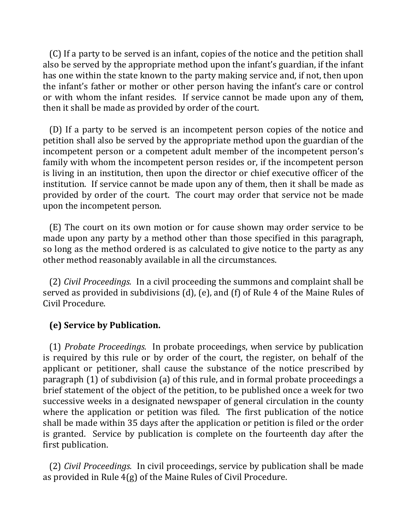(C) If a party to be served is an infant, copies of the notice and the petition shall also be served by the appropriate method upon the infant's guardian, if the infant has one within the state known to the party making service and, if not, then upon the infant's father or mother or other person having the infant's care or control or with whom the infant resides. If service cannot be made upon any of them, then it shall be made as provided by order of the court.

(D) If a party to be served is an incompetent person copies of the notice and petition shall also be served by the appropriate method upon the guardian of the incompetent person or a competent adult member of the incompetent person's family with whom the incompetent person resides or, if the incompetent person is living in an institution, then upon the director or chief executive officer of the institution. If service cannot be made upon any of them, then it shall be made as provided by order of the court. The court may order that service not be made upon the incompetent person.

 $(E)$  The court on its own motion or for cause shown may order service to be made upon any party by a method other than those specified in this paragraph, so long as the method ordered is as calculated to give notice to the party as any other method reasonably available in all the circumstances.

(2) *Civil Proceedings.* In a civil proceeding the summons and complaint shall be served as provided in subdivisions  $(d)$ ,  $(e)$ , and  $(f)$  of Rule 4 of the Maine Rules of Civil Procedure.

# **(e) Service by Publication.**

 (1) *Probate Proceedings.* In probate proceedings, when service by publication is required by this rule or by order of the court, the register, on behalf of the applicant or petitioner, shall cause the substance of the notice prescribed by paragraph  $(1)$  of subdivision  $(a)$  of this rule, and in formal probate proceedings a brief statement of the object of the petition, to be published once a week for two successive weeks in a designated newspaper of general circulation in the county where the application or petition was filed. The first publication of the notice shall be made within 35 days after the application or petition is filed or the order is granted. Service by publication is complete on the fourteenth day after the first publication.

(2) *Civil Proceedings.* In civil proceedings, service by publication shall be made as provided in Rule  $4(g)$  of the Maine Rules of Civil Procedure.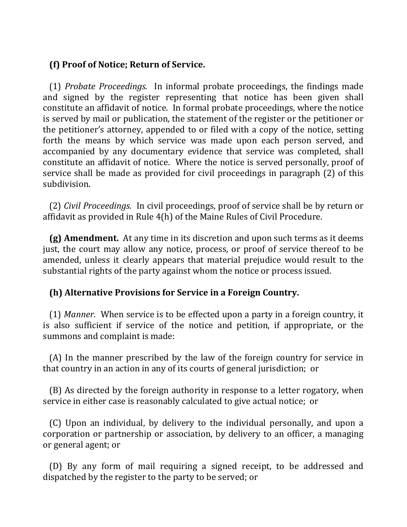# **(f) Proof of Notice; Return of Service.**

(1) *Probate Proceedings.* In informal probate proceedings, the findings made and signed by the register representing that notice has been given shall constitute an affidavit of notice. In formal probate proceedings, where the notice is served by mail or publication, the statement of the register or the petitioner or the petitioner's attorney, appended to or filed with a copy of the notice, setting forth the means by which service was made upon each person served, and accompanied by any documentary evidence that service was completed, shall constitute an affidavit of notice. Where the notice is served personally, proof of service shall be made as provided for civil proceedings in paragraph (2) of this subdivision.

(2) *Civil Proceedings.* In civil proceedings, proof of service shall be by return or affidavit as provided in Rule  $4(h)$  of the Maine Rules of Civil Procedure.

**(g) Amendment.** At any time in its discretion and upon such terms as it deems just, the court may allow any notice, process, or proof of service thereof to be amended, unless it clearly appears that material prejudice would result to the substantial rights of the party against whom the notice or process issued.

# **(h) Alternative Provisions for Service in a Foreign Country.**

(1) *Manner.* When service is to be effected upon a party in a foreign country, it is also sufficient if service of the notice and petition, if appropriate, or the summons and complaint is made:

(A) In the manner prescribed by the law of the foreign country for service in that country in an action in any of its courts of general jurisdiction; or

(B) As directed by the foreign authority in response to a letter rogatory, when service in either case is reasonably calculated to give actual notice; or

(C) Upon an individual, by delivery to the individual personally, and upon a corporation or partnership or association, by delivery to an officer, a managing or general agent; or

(D) By any form of mail requiring a signed receipt, to be addressed and dispatched by the register to the party to be served; or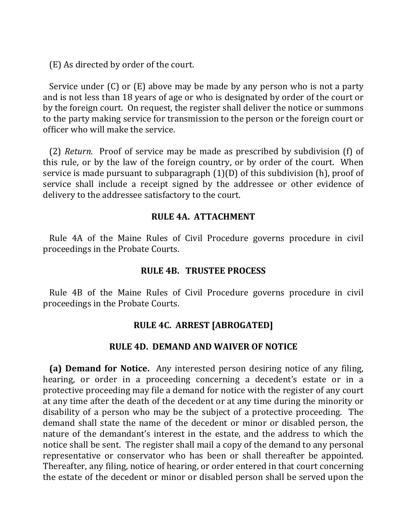(E) As directed by order of the court.

Service under  $(C)$  or  $(E)$  above may be made by any person who is not a party and is not less than 18 years of age or who is designated by order of the court or by the foreign court. On request, the register shall deliver the notice or summons to the party making service for transmission to the person or the foreign court or officer who will make the service.

(2) *Return.* Proof of service may be made as prescribed by subdivision (f) of this rule, or by the law of the foreign country, or by order of the court. When service is made pursuant to subparagraph  $(1)(D)$  of this subdivision  $(h)$ , proof of service shall include a receipt signed by the addressee or other evidence of delivery to the addressee satisfactory to the court.

### **RULE 4A. ATTACHMENT**

Rule 4A of the Maine Rules of Civil Procedure governs procedure in civil proceedings in the Probate Courts.

#### **RULE 4B. TRUSTEE PROCESS**

Rule 4B of the Maine Rules of Civil Procedure governs procedure in civil proceedings in the Probate Courts.

## **RULE 4C. ARREST [ABROGATED]**

#### **RULE 4D. DEMAND AND WAIVER OF NOTICE**

**(a) Demand for Notice.** Any interested person desiring notice of any filing, hearing, or order in a proceeding concerning a decedent's estate or in a protective proceeding may file a demand for notice with the register of any court at any time after the death of the decedent or at any time during the minority or disability of a person who may be the subject of a protective proceeding. The demand shall state the name of the decedent or minor or disabled person, the nature of the demandant's interest in the estate, and the address to which the notice shall be sent. The register shall mail a copy of the demand to any personal representative or conservator who has been or shall thereafter be appointed. Thereafter, any filing, notice of hearing, or order entered in that court concerning the estate of the decedent or minor or disabled person shall be served upon the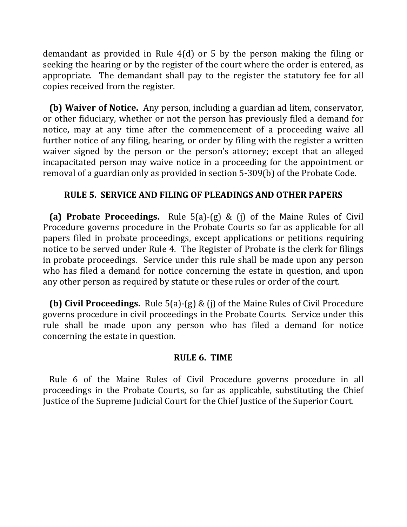demandant as provided in Rule  $4(d)$  or 5 by the person making the filing or seeking the hearing or by the register of the court where the order is entered, as appropriate. The demandant shall pay to the register the statutory fee for all copies received from the register.

**(b) Waiver of Notice.** Any person, including a guardian ad litem, conservator, or other fiduciary, whether or not the person has previously filed a demand for notice, may at any time after the commencement of a proceeding waive all further notice of any filing, hearing, or order by filing with the register a written waiver signed by the person or the person's attorney; except that an alleged incapacitated person may waive notice in a proceeding for the appointment or removal of a guardian only as provided in section 5-309(b) of the Probate Code.

# **RULE 5. SERVICE AND FILING OF PLEADINGS AND OTHER PAPERS**

**(a) Probate Proceedings.** Rule 5(a)-(g) & (j) of the Maine Rules of Civil Procedure governs procedure in the Probate Courts so far as applicable for all papers filed in probate proceedings, except applications or petitions requiring notice to be served under Rule 4. The Register of Probate is the clerk for filings in probate proceedings. Service under this rule shall be made upon any person who has filed a demand for notice concerning the estate in question, and upon any other person as required by statute or these rules or order of the court.

**(b) Civil Proceedings.** Rule 5(a)-(g) & (j) of the Maine Rules of Civil Procedure governs procedure in civil proceedings in the Probate Courts. Service under this rule shall be made upon any person who has filed a demand for notice concerning the estate in question.

#### **RULE 6. TIME**

Rule 6 of the Maine Rules of Civil Procedure governs procedure in all proceedings in the Probate Courts, so far as applicable, substituting the Chief Justice of the Supreme Judicial Court for the Chief Justice of the Superior Court.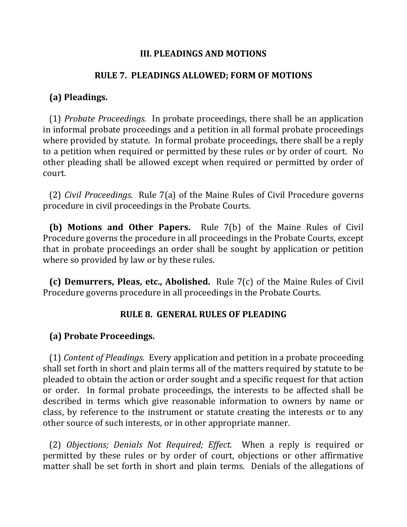#### **III. PLEADINGS AND MOTIONS**

#### **RULE 7. PLEADINGS ALLOWED; FORM OF MOTIONS**

### **(a) Pleadings.**

(1) *Probate Proceedings.* In probate proceedings, there shall be an application in informal probate proceedings and a petition in all formal probate proceedings where provided by statute. In formal probate proceedings, there shall be a reply to a petition when required or permitted by these rules or by order of court. No other pleading shall be allowed except when required or permitted by order of court.

(2) *Civil Proceedings.* Rule 7(a) of the Maine Rules of Civil Procedure governs procedure in civil proceedings in the Probate Courts.

**(b)** Motions and Other Papers. Rule 7(b) of the Maine Rules of Civil Procedure governs the procedure in all proceedings in the Probate Courts, except that in probate proceedings an order shall be sought by application or petition where so provided by law or by these rules.

**(c) Demurrers, Pleas, etc., Abolished.** Rule  $7(c)$  of the Maine Rules of Civil Procedure governs procedure in all proceedings in the Probate Courts.

#### **RULE 8. GENERAL RULES OF PLEADING**

## **(a) Probate Proceedings.**

(1) *Content of Pleadings.* Every application and petition in a probate proceeding shall set forth in short and plain terms all of the matters required by statute to be pleaded to obtain the action or order sought and a specific request for that action or order. In formal probate proceedings, the interests to be affected shall be described in terms which give reasonable information to owners by name or class, by reference to the instrument or statute creating the interests or to any other source of such interests, or in other appropriate manner.

(2) *Objections; Denials Not Required; Effect.* When a reply is required or permitted by these rules or by order of court, objections or other affirmative matter shall be set forth in short and plain terms. Denials of the allegations of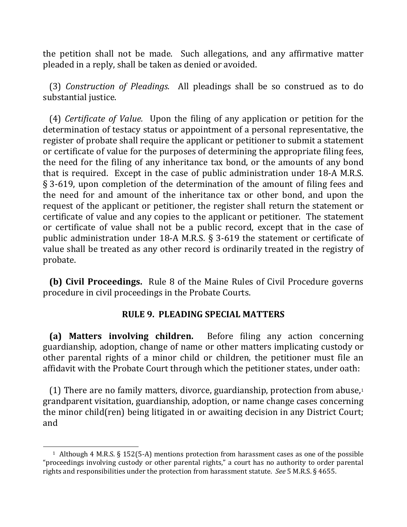the petition shall not be made. Such allegations, and any affirmative matter pleaded in a reply, shall be taken as denied or avoided.

(3) *Construction of Pleadings.* All pleadings shall be so construed as to do substantial justice.

(4) *Certificate of Value.* Upon the filing of any application or petition for the determination of testacy status or appointment of a personal representative, the register of probate shall require the applicant or petitioner to submit a statement or certificate of value for the purposes of determining the appropriate filing fees, the need for the filing of any inheritance tax bond, or the amounts of any bond that is required. Except in the case of public administration under 18-A M.R.S.  $\S$  3-619, upon completion of the determination of the amount of filing fees and the need for and amount of the inheritance tax or other bond, and upon the request of the applicant or petitioner, the register shall return the statement or certificate of value and any copies to the applicant or petitioner. The statement or certificate of value shall not be a public record, except that in the case of public administration under 18-A M.R.S.  $\S$  3-619 the statement or certificate of value shall be treated as any other record is ordinarily treated in the registry of probate.

**(b) Civil Proceedings.** Rule 8 of the Maine Rules of Civil Procedure governs procedure in civil proceedings in the Probate Courts.

#### **RULE 9. PLEADING SPECIAL MATTERS**

**(a)** Matters involving children. Before filing any action concerning guardianship, adoption, change of name or other matters implicating custody or other parental rights of a minor child or children, the petitioner must file an affidavit with the Probate Court through which the petitioner states, under oath:

(1) There are no family matters, divorce, guardianship, protection from abuse, $1$ grandparent visitation, guardianship, adoption, or name change cases concerning the minor child(ren) being litigated in or awaiting decision in any District Court; and

 $\overline{a}$ 

<sup>&</sup>lt;sup>1</sup> Although 4 M.R.S. § 152(5-A) mentions protection from harassment cases as one of the possible "proceedings involving custody or other parental rights," a court has no authority to order parental rights and responsibilities under the protection from harassment statute. *See* 5 M.R.S. § 4655.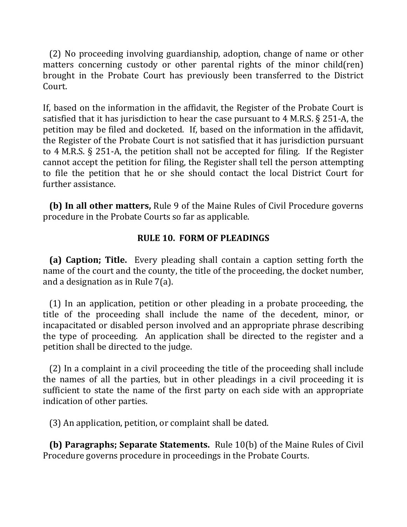(2) No proceeding involving guardianship, adoption, change of name or other matters concerning custody or other parental rights of the minor child(ren) brought in the Probate Court has previously been transferred to the District Court.

If, based on the information in the affidavit, the Register of the Probate Court is satisfied that it has jurisdiction to hear the case pursuant to  $4$  M.R.S.  $\S$  251-A, the petition may be filed and docketed. If, based on the information in the affidavit, the Register of the Probate Court is not satisfied that it has jurisdiction pursuant to  $4$  M.R.S. § 251-A, the petition shall not be accepted for filing. If the Register cannot accept the petition for filing, the Register shall tell the person attempting to file the petition that he or she should contact the local District Court for further assistance.

**(b) In all other matters,** Rule 9 of the Maine Rules of Civil Procedure governs procedure in the Probate Courts so far as applicable.

### **RULE 10. FORM OF PLEADINGS**

**(a) Caption; Title.** Every pleading shall contain a caption setting forth the name of the court and the county, the title of the proceeding, the docket number, and a designation as in Rule  $7(a)$ .

 $(1)$  In an application, petition or other pleading in a probate proceeding, the title of the proceeding shall include the name of the decedent, minor, or incapacitated or disabled person involved and an appropriate phrase describing the type of proceeding. An application shall be directed to the register and a petition shall be directed to the judge.

(2) In a complaint in a civil proceeding the title of the proceeding shall include the names of all the parties, but in other pleadings in a civil proceeding it is sufficient to state the name of the first party on each side with an appropriate indication of other parties.

(3) An application, petition, or complaint shall be dated.

**(b) Paragraphs; Separate Statements.** Rule 10(b) of the Maine Rules of Civil Procedure governs procedure in proceedings in the Probate Courts.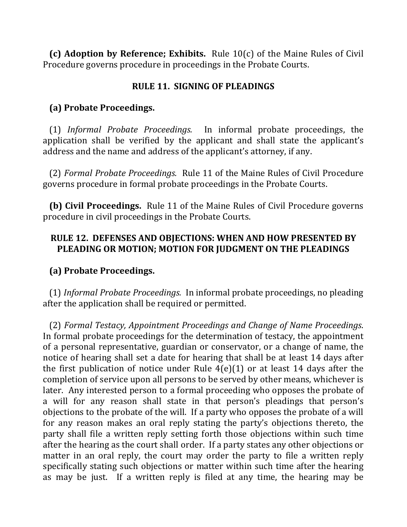**(c)** Adoption by Reference; Exhibits. Rule 10(c) of the Maine Rules of Civil Procedure governs procedure in proceedings in the Probate Courts.

# **RULE 11. SIGNING OF PLEADINGS**

# **(a) Probate Proceedings.**

 (1) *Informal Probate Proceedings.* In informal probate proceedings, the application shall be verified by the applicant and shall state the applicant's address and the name and address of the applicant's attorney, if any.

(2) Formal Probate Proceedings. Rule 11 of the Maine Rules of Civil Procedure governs procedure in formal probate proceedings in the Probate Courts.

**(b) Civil Proceedings.** Rule 11 of the Maine Rules of Civil Procedure governs procedure in civil proceedings in the Probate Courts.

# **RULE 12. DEFENSES AND OBJECTIONS: WHEN AND HOW PRESENTED BY** PLEADING OR MOTION; MOTION FOR JUDGMENT ON THE PLEADINGS

# **(a) Probate Proceedings.**

(1) *Informal Probate Proceedings.* In informal probate proceedings, no pleading after the application shall be required or permitted.

 (2) *Formal Testacy, Appointment Proceedings and Change of Name Proceedings*. In formal probate proceedings for the determination of testacy, the appointment of a personal representative, guardian or conservator, or a change of name, the notice of hearing shall set a date for hearing that shall be at least 14 days after the first publication of notice under Rule  $4(e)(1)$  or at least 14 days after the completion of service upon all persons to be served by other means, whichever is later. Any interested person to a formal proceeding who opposes the probate of a will for any reason shall state in that person's pleadings that person's objections to the probate of the will. If a party who opposes the probate of a will for any reason makes an oral reply stating the party's objections thereto, the party shall file a written reply setting forth those objections within such time after the hearing as the court shall order. If a party states any other objections or matter in an oral reply, the court may order the party to file a written reply specifically stating such objections or matter within such time after the hearing as may be just. If a written reply is filed at any time, the hearing may be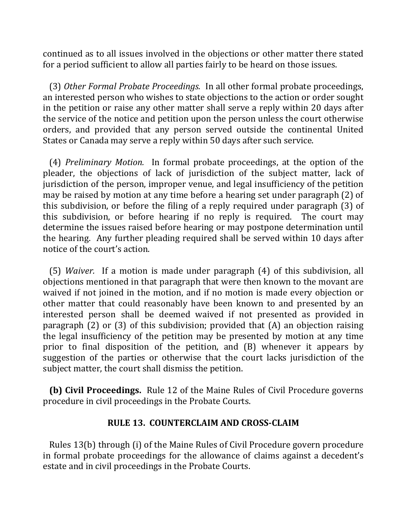continued as to all issues involved in the objections or other matter there stated for a period sufficient to allow all parties fairly to be heard on those issues.

(3) Other Formal Probate Proceedings. In all other formal probate proceedings, an interested person who wishes to state objections to the action or order sought in the petition or raise any other matter shall serve a reply within 20 days after the service of the notice and petition upon the person unless the court otherwise orders, and provided that any person served outside the continental United States or Canada may serve a reply within 50 days after such service.

(4) *Preliminary Motion.* In formal probate proceedings, at the option of the pleader, the objections of lack of jurisdiction of the subject matter, lack of jurisdiction of the person, improper venue, and legal insufficiency of the petition may be raised by motion at any time before a hearing set under paragraph (2) of this subdivision, or before the filing of a reply required under paragraph  $(3)$  of this subdivision, or before hearing if no reply is required. The court may determine the issues raised before hearing or may postpone determination until the hearing. Any further pleading required shall be served within 10 days after notice of the court's action.

(5) *Waiver.* If a motion is made under paragraph (4) of this subdivision, all objections mentioned in that paragraph that were then known to the movant are waived if not joined in the motion, and if no motion is made every objection or other matter that could reasonably have been known to and presented by an interested person shall be deemed waived if not presented as provided in paragraph  $(2)$  or  $(3)$  of this subdivision; provided that  $(A)$  an objection raising the legal insufficiency of the petition may be presented by motion at any time prior to final disposition of the petition, and  $(B)$  whenever it appears by suggestion of the parties or otherwise that the court lacks jurisdiction of the subject matter, the court shall dismiss the petition.

**(b) Civil Proceedings.** Rule 12 of the Maine Rules of Civil Procedure governs procedure in civil proceedings in the Probate Courts.

#### **RULE 13. COUNTERCLAIM AND CROSS-CLAIM**

Rules 13(b) through (i) of the Maine Rules of Civil Procedure govern procedure in formal probate proceedings for the allowance of claims against a decedent's estate and in civil proceedings in the Probate Courts.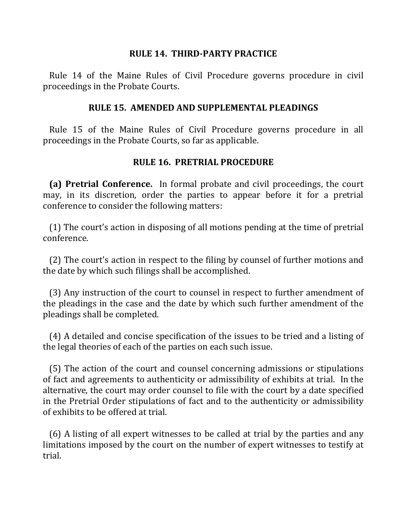#### **RULE 14. THIRD-PARTY PRACTICE**

Rule 14 of the Maine Rules of Civil Procedure governs procedure in civil proceedings in the Probate Courts.

### **RULE 15. AMENDED AND SUPPLEMENTAL PLEADINGS**

Rule 15 of the Maine Rules of Civil Procedure governs procedure in all proceedings in the Probate Courts, so far as applicable.

# **RULE 16. PRETRIAL PROCEDURE**

**(a) Pretrial Conference.** In formal probate and civil proceedings, the court may, in its discretion, order the parties to appear before it for a pretrial conference to consider the following matters:

 $(1)$  The court's action in disposing of all motions pending at the time of pretrial conference.

(2) The court's action in respect to the filing by counsel of further motions and the date by which such filings shall be accomplished.

(3) Any instruction of the court to counsel in respect to further amendment of the pleadings in the case and the date by which such further amendment of the pleadings shall be completed.

(4) A detailed and concise specification of the issues to be tried and a listing of the legal theories of each of the parties on each such issue.

(5) The action of the court and counsel concerning admissions or stipulations of fact and agreements to authenticity or admissibility of exhibits at trial. In the alternative, the court may order counsel to file with the court by a date specified in the Pretrial Order stipulations of fact and to the authenticity or admissibility of exhibits to be offered at trial.

(6) A listing of all expert witnesses to be called at trial by the parties and any limitations imposed by the court on the number of expert witnesses to testify at trial.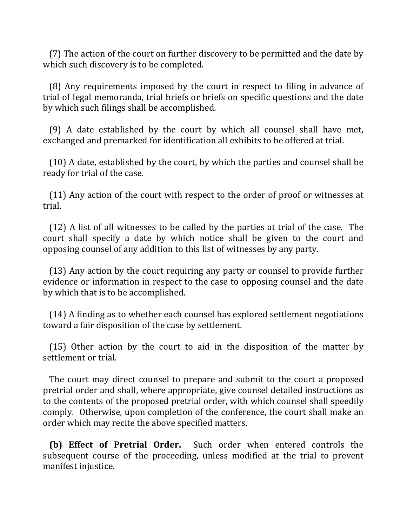(7) The action of the court on further discovery to be permitted and the date by which such discovery is to be completed.

(8) Any requirements imposed by the court in respect to filing in advance of trial of legal memoranda, trial briefs or briefs on specific questions and the date by which such filings shall be accomplished.

(9) A date established by the court by which all counsel shall have met, exchanged and premarked for identification all exhibits to be offered at trial.

(10) A date, established by the court, by which the parties and counsel shall be ready for trial of the case.

(11) Any action of the court with respect to the order of proof or witnesses at trial.

(12) A list of all witnesses to be called by the parties at trial of the case. The court shall specify a date by which notice shall be given to the court and opposing counsel of any addition to this list of witnesses by any party.

(13) Any action by the court requiring any party or counsel to provide further evidence or information in respect to the case to opposing counsel and the date by which that is to be accomplished.

 $(14)$  A finding as to whether each counsel has explored settlement negotiations toward a fair disposition of the case by settlement.

 $(15)$  Other action by the court to aid in the disposition of the matter by settlement or trial.

The court may direct counsel to prepare and submit to the court a proposed pretrial order and shall, where appropriate, give counsel detailed instructions as to the contents of the proposed pretrial order, with which counsel shall speedily comply. Otherwise, upon completion of the conference, the court shall make an order which may recite the above specified matters.

**(b)** Effect of Pretrial Order. Such order when entered controls the subsequent course of the proceeding, unless modified at the trial to prevent manifest injustice.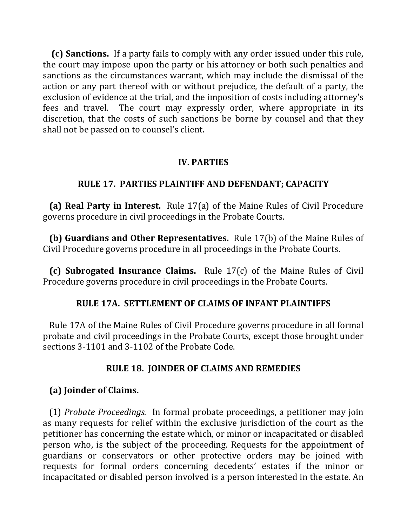**(c) Sanctions.** If a party fails to comply with any order issued under this rule, the court may impose upon the party or his attorney or both such penalties and sanctions as the circumstances warrant, which may include the dismissal of the action or any part thereof with or without prejudice, the default of a party, the exclusion of evidence at the trial, and the imposition of costs including attorney's fees and travel. The court may expressly order, where appropriate in its discretion, that the costs of such sanctions be borne by counsel and that they shall not be passed on to counsel's client.

# **IV. PARTIES**

# **RULE 17. PARTIES PLAINTIFF AND DEFENDANT; CAPACITY**

**(a) Real Party in Interest.** Rule 17(a) of the Maine Rules of Civil Procedure governs procedure in civil proceedings in the Probate Courts.

**(b) Guardians and Other Representatives.** Rule 17(b) of the Maine Rules of Civil Procedure governs procedure in all proceedings in the Probate Courts.

**(c) Subrogated Insurance Claims.** Rule 17(c) of the Maine Rules of Civil Procedure governs procedure in civil proceedings in the Probate Courts.

## **RULE 17A. SETTLEMENT OF CLAIMS OF INFANT PLAINTIFFS**

Rule 17A of the Maine Rules of Civil Procedure governs procedure in all formal probate and civil proceedings in the Probate Courts, except those brought under sections 3-1101 and 3-1102 of the Probate Code.

## **RULE 18. JOINDER OF CLAIMS AND REMEDIES**

# **(a) Joinder of Claims.**

(1) *Probate Proceedings.* In formal probate proceedings, a petitioner may join as many requests for relief within the exclusive jurisdiction of the court as the petitioner has concerning the estate which, or minor or incapacitated or disabled person who, is the subject of the proceeding. Requests for the appointment of guardians or conservators or other protective orders may be joined with requests for formal orders concerning decedents' estates if the minor or incapacitated or disabled person involved is a person interested in the estate. An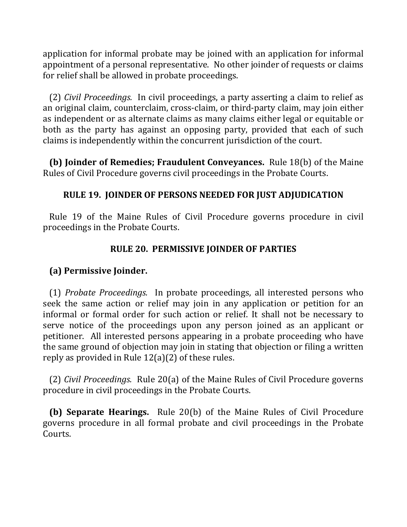application for informal probate may be joined with an application for informal appointment of a personal representative. No other joinder of requests or claims for relief shall be allowed in probate proceedings.

(2) *Civil Proceedings.* In civil proceedings, a party asserting a claim to relief as an original claim, counterclaim, cross-claim, or third-party claim, may join either as independent or as alternate claims as many claims either legal or equitable or both as the party has against an opposing party, provided that each of such claims is independently within the concurrent jurisdiction of the court.

**(b) Joinder of Remedies; Fraudulent Conveyances.** Rule 18(b) of the Maine Rules of Civil Procedure governs civil proceedings in the Probate Courts.

# **RULE 19. JOINDER OF PERSONS NEEDED FOR JUST ADJUDICATION**

Rule 19 of the Maine Rules of Civil Procedure governs procedure in civil proceedings in the Probate Courts.

# **RULE 20. PERMISSIVE JOINDER OF PARTIES**

## **(a) Permissive Joinder.**

(1) *Probate Proceedings.* In probate proceedings, all interested persons who seek the same action or relief may join in any application or petition for an informal or formal order for such action or relief. It shall not be necessary to serve notice of the proceedings upon any person joined as an applicant or petitioner. All interested persons appearing in a probate proceeding who have the same ground of objection may join in stating that objection or filing a written reply as provided in Rule  $12(a)(2)$  of these rules.

(2) *Civil Proceedings.* Rule 20(a) of the Maine Rules of Civil Procedure governs procedure in civil proceedings in the Probate Courts.

**(b) Separate Hearings.** Rule 20(b) of the Maine Rules of Civil Procedure governs procedure in all formal probate and civil proceedings in the Probate Courts.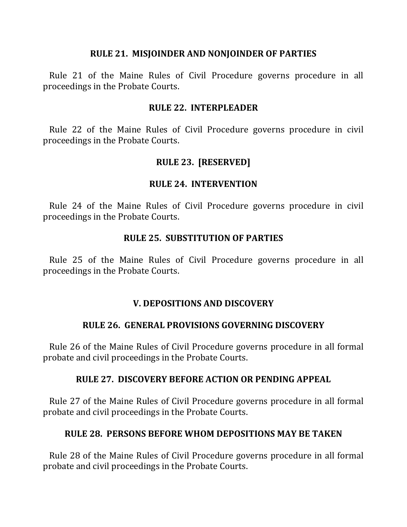#### **RULE 21. MISJOINDER AND NONJOINDER OF PARTIES**

Rule 21 of the Maine Rules of Civil Procedure governs procedure in all proceedings in the Probate Courts.

#### **RULE 22. INTERPLEADER**

Rule 22 of the Maine Rules of Civil Procedure governs procedure in civil proceedings in the Probate Courts.

## **RULE 23. [RESERVED]**

#### **RULE 24. INTERVENTION**

Rule 24 of the Maine Rules of Civil Procedure governs procedure in civil proceedings in the Probate Courts.

#### **RULE 25. SUBSTITUTION OF PARTIES**

Rule 25 of the Maine Rules of Civil Procedure governs procedure in all proceedings in the Probate Courts.

#### **V. DEPOSITIONS AND DISCOVERY**

#### **RULE 26. GENERAL PROVISIONS GOVERNING DISCOVERY**

Rule 26 of the Maine Rules of Civil Procedure governs procedure in all formal probate and civil proceedings in the Probate Courts.

#### **RULE 27. DISCOVERY BEFORE ACTION OR PENDING APPEAL**

Rule 27 of the Maine Rules of Civil Procedure governs procedure in all formal probate and civil proceedings in the Probate Courts.

#### **RULE 28. PERSONS BEFORE WHOM DEPOSITIONS MAY BE TAKEN**

Rule 28 of the Maine Rules of Civil Procedure governs procedure in all formal probate and civil proceedings in the Probate Courts.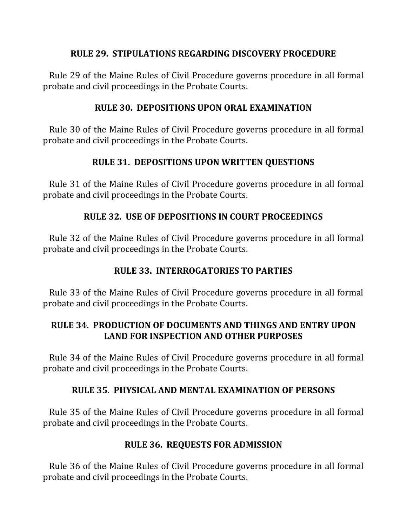## **RULE 29. STIPULATIONS REGARDING DISCOVERY PROCEDURE**

Rule 29 of the Maine Rules of Civil Procedure governs procedure in all formal probate and civil proceedings in the Probate Courts.

# **RULE 30. DEPOSITIONS UPON ORAL EXAMINATION**

Rule 30 of the Maine Rules of Civil Procedure governs procedure in all formal probate and civil proceedings in the Probate Courts.

# **RULE 31. DEPOSITIONS UPON WRITTEN QUESTIONS**

Rule 31 of the Maine Rules of Civil Procedure governs procedure in all formal probate and civil proceedings in the Probate Courts.

# **RULE 32. USE OF DEPOSITIONS IN COURT PROCEEDINGS**

Rule 32 of the Maine Rules of Civil Procedure governs procedure in all formal probate and civil proceedings in the Probate Courts.

## **RULE 33. INTERROGATORIES TO PARTIES**

Rule 33 of the Maine Rules of Civil Procedure governs procedure in all formal probate and civil proceedings in the Probate Courts.

# **RULE 34. PRODUCTION OF DOCUMENTS AND THINGS AND ENTRY UPON LAND FOR INSPECTION AND OTHER PURPOSES**

Rule 34 of the Maine Rules of Civil Procedure governs procedure in all formal probate and civil proceedings in the Probate Courts.

## **RULE 35. PHYSICAL AND MENTAL EXAMINATION OF PERSONS**

Rule 35 of the Maine Rules of Civil Procedure governs procedure in all formal probate and civil proceedings in the Probate Courts.

## **RULE 36. REQUESTS FOR ADMISSION**

Rule 36 of the Maine Rules of Civil Procedure governs procedure in all formal probate and civil proceedings in the Probate Courts.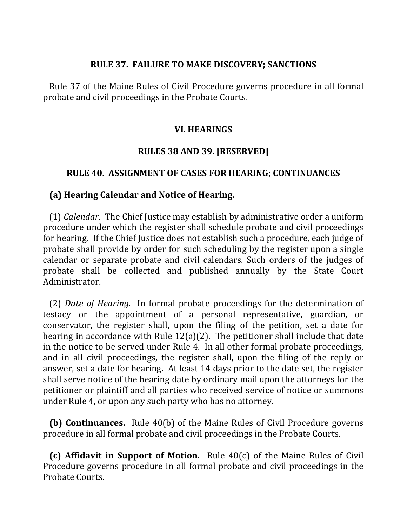#### **RULE 37. FAILURE TO MAKE DISCOVERY; SANCTIONS**

Rule 37 of the Maine Rules of Civil Procedure governs procedure in all formal probate and civil proceedings in the Probate Courts.

#### **VI. HEARINGS**

## **RULES 38 AND 39. [RESERVED]**

### **RULE 40. ASSIGNMENT OF CASES FOR HEARING; CONTINUANCES**

### **(a) Hearing Calendar and Notice of Hearing.**

(1) *Calendar*. The Chief Justice may establish by administrative order a uniform procedure under which the register shall schedule probate and civil proceedings for hearing. If the Chief Justice does not establish such a procedure, each judge of probate shall provide by order for such scheduling by the register upon a single calendar or separate probate and civil calendars. Such orders of the judges of probate shall be collected and published annually by the State Court Administrator.

(2) *Date of Hearing.* In formal probate proceedings for the determination of testacy or the appointment of a personal representative, guardian, or conservator, the register shall, upon the filing of the petition, set a date for hearing in accordance with Rule  $12(a)(2)$ . The petitioner shall include that date in the notice to be served under Rule 4. In all other formal probate proceedings, and in all civil proceedings, the register shall, upon the filing of the reply or answer, set a date for hearing. At least 14 days prior to the date set, the register shall serve notice of the hearing date by ordinary mail upon the attorneys for the petitioner or plaintiff and all parties who received service of notice or summons under Rule 4, or upon any such party who has no attorney.

**(b) Continuances.** Rule 40(b) of the Maine Rules of Civil Procedure governs procedure in all formal probate and civil proceedings in the Probate Courts.

**(c) Affidavit in Support of Motion.** Rule 40(c) of the Maine Rules of Civil Procedure governs procedure in all formal probate and civil proceedings in the Probate Courts.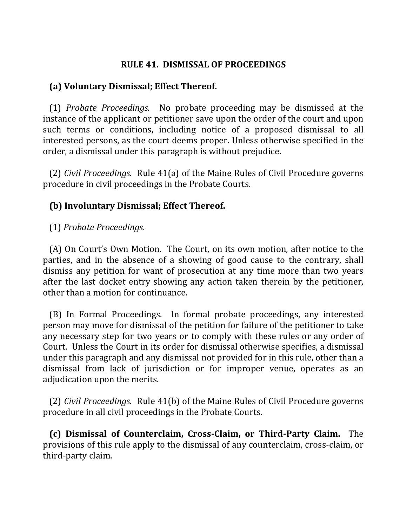## **RULE 41. DISMISSAL OF PROCEEDINGS**

### **(a) Voluntary Dismissal; Effect Thereof.**

 (1) *Probate Proceedings.* No probate proceeding may be dismissed at the instance of the applicant or petitioner save upon the order of the court and upon such terms or conditions, including notice of a proposed dismissal to all interested persons, as the court deems proper. Unless otherwise specified in the order, a dismissal under this paragraph is without prejudice.

(2) *Civil Proceedings.* Rule 41(a) of the Maine Rules of Civil Procedure governs procedure in civil proceedings in the Probate Courts.

## **(b) Involuntary Dismissal; Effect Thereof.**

### (1) *Probate Proceedings*.

(A) On Court's Own Motion. The Court, on its own motion, after notice to the parties, and in the absence of a showing of good cause to the contrary, shall dismiss any petition for want of prosecution at any time more than two years after the last docket entry showing any action taken therein by the petitioner, other than a motion for continuance.

(B) In Formal Proceedings. In formal probate proceedings, any interested person may move for dismissal of the petition for failure of the petitioner to take any necessary step for two years or to comply with these rules or any order of Court. Unless the Court in its order for dismissal otherwise specifies, a dismissal under this paragraph and any dismissal not provided for in this rule, other than a dismissal from lack of jurisdiction or for improper venue, operates as an adjudication upon the merits.

(2) *Civil Proceedings.* Rule 41(b) of the Maine Rules of Civil Procedure governs procedure in all civil proceedings in the Probate Courts.

 **(c) Dismissal of Counterclaim, Cross-Claim, or Third-Party Claim.** The provisions of this rule apply to the dismissal of any counterclaim, cross-claim, or third-party claim.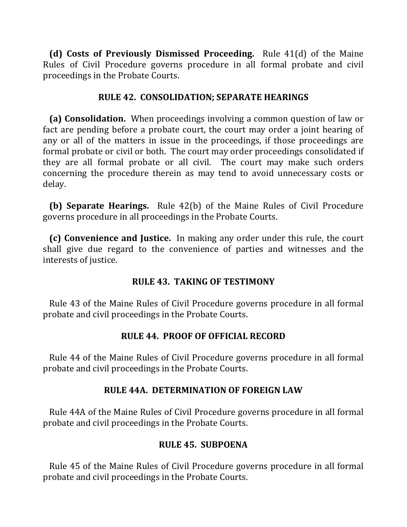**(d) Costs of Previously Dismissed Proceeding.** Rule 41(d) of the Maine Rules of Civil Procedure governs procedure in all formal probate and civil proceedings in the Probate Courts.

### **RULE 42. CONSOLIDATION; SEPARATE HEARINGS**

**(a) Consolidation.** When proceedings involving a common question of law or fact are pending before a probate court, the court may order a joint hearing of any or all of the matters in issue in the proceedings, if those proceedings are formal probate or civil or both. The court may order proceedings consolidated if they are all formal probate or all civil. The court may make such orders concerning the procedure therein as may tend to avoid unnecessary costs or delay.

**(b) Separate Hearings.** Rule 42(b) of the Maine Rules of Civil Procedure governs procedure in all proceedings in the Probate Courts.

**(c) Convenience and Justice.** In making any order under this rule, the court shall give due regard to the convenience of parties and witnesses and the interests of justice.

#### **RULE 43. TAKING OF TESTIMONY**

Rule 43 of the Maine Rules of Civil Procedure governs procedure in all formal probate and civil proceedings in the Probate Courts.

## **RULE 44. PROOF OF OFFICIAL RECORD**

Rule 44 of the Maine Rules of Civil Procedure governs procedure in all formal probate and civil proceedings in the Probate Courts.

## **RULE 44A. DETERMINATION OF FOREIGN LAW**

Rule 44A of the Maine Rules of Civil Procedure governs procedure in all formal probate and civil proceedings in the Probate Courts.

## **RULE 45. SUBPOENA**

Rule 45 of the Maine Rules of Civil Procedure governs procedure in all formal probate and civil proceedings in the Probate Courts.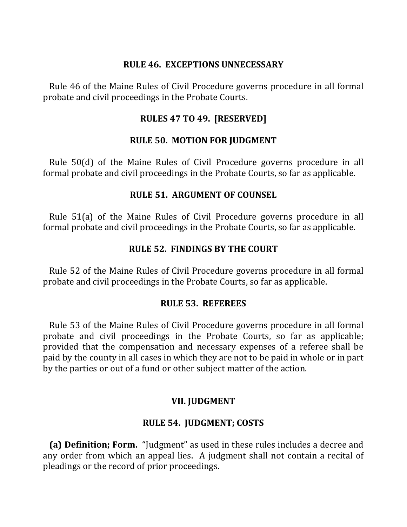#### **RULE 46. EXCEPTIONS UNNECESSARY**

Rule 46 of the Maine Rules of Civil Procedure governs procedure in all formal probate and civil proceedings in the Probate Courts.

### **RULES 47 TO 49. [RESERVED]**

### **RULE 50. MOTION FOR JUDGMENT**

Rule 50(d) of the Maine Rules of Civil Procedure governs procedure in all formal probate and civil proceedings in the Probate Courts, so far as applicable.

### **RULE 51. ARGUMENT OF COUNSEL**

Rule 51(a) of the Maine Rules of Civil Procedure governs procedure in all formal probate and civil proceedings in the Probate Courts, so far as applicable.

#### **RULE 52. FINDINGS BY THE COURT**

Rule 52 of the Maine Rules of Civil Procedure governs procedure in all formal probate and civil proceedings in the Probate Courts, so far as applicable.

#### **RULE 53. REFEREES**

Rule 53 of the Maine Rules of Civil Procedure governs procedure in all formal probate and civil proceedings in the Probate Courts, so far as applicable; provided that the compensation and necessary expenses of a referee shall be paid by the county in all cases in which they are not to be paid in whole or in part by the parties or out of a fund or other subject matter of the action.

#### **VII. JUDGMENT**

#### **RULE 54. IUDGMENT; COSTS**

**(a) Definition; Form.** "Judgment" as used in these rules includes a decree and any order from which an appeal lies. A judgment shall not contain a recital of pleadings or the record of prior proceedings.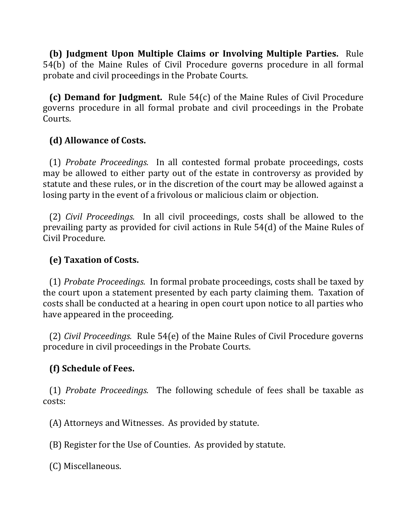**(b) Iudgment Upon Multiple Claims or Involving Multiple Parties.** Rule 54(b) of the Maine Rules of Civil Procedure governs procedure in all formal probate and civil proceedings in the Probate Courts.

**(c) Demand for Judgment.** Rule 54(c) of the Maine Rules of Civil Procedure governs procedure in all formal probate and civil proceedings in the Probate Courts.

# **(d) Allowance of Costs.**

(1) *Probate Proceedings.* In all contested formal probate proceedings, costs may be allowed to either party out of the estate in controversy as provided by statute and these rules, or in the discretion of the court may be allowed against a losing party in the event of a frivolous or malicious claim or objection.

(2) *Civil Proceedings.* In all civil proceedings, costs shall be allowed to the prevailing party as provided for civil actions in Rule 54(d) of the Maine Rules of Civil Procedure.

# **(e) Taxation of Costs.**

(1) *Probate Proceedings.* In formal probate proceedings, costs shall be taxed by the court upon a statement presented by each party claiming them. Taxation of costs shall be conducted at a hearing in open court upon notice to all parties who have appeared in the proceeding.

(2) *Civil Proceedings.* Rule 54(e) of the Maine Rules of Civil Procedure governs procedure in civil proceedings in the Probate Courts.

# **(f) Schedule of Fees.**

(1) *Probate Proceedings.* The following schedule of fees shall be taxable as costs:

(A) Attorneys and Witnesses. As provided by statute.

(B) Register for the Use of Counties. As provided by statute.

 (C) Miscellaneous.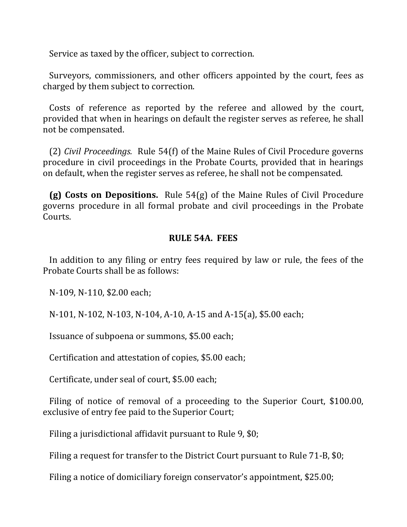Service as taxed by the officer, subject to correction.

Surveyors, commissioners, and other officers appointed by the court, fees as charged by them subject to correction.

Costs of reference as reported by the referee and allowed by the court, provided that when in hearings on default the register serves as referee, he shall not be compensated.

(2) *Civil Proceedings.* Rule 54(f) of the Maine Rules of Civil Procedure governs procedure in civil proceedings in the Probate Courts, provided that in hearings on default, when the register serves as referee, he shall not be compensated.

**(g) Costs on Depositions.** Rule 54(g) of the Maine Rules of Civil Procedure governs procedure in all formal probate and civil proceedings in the Probate Courts. 

### **RULE 54A. FEES**

In addition to any filing or entry fees required by law or rule, the fees of the Probate Courts shall be as follows:

N-109, N-110, \$2.00 each;

N-101, N-102, N-103, N-104, A-10, A-15 and A-15(a), \$5.00 each;

Issuance of subpoena or summons, \$5.00 each;

Certification and attestation of copies, \$5.00 each;

Certificate, under seal of court, \$5.00 each;

Filing of notice of removal of a proceeding to the Superior Court, \$100.00, exclusive of entry fee paid to the Superior Court;

Filing a jurisdictional affidavit pursuant to Rule 9,  $$0;$ 

Filing a request for transfer to the District Court pursuant to Rule 71-B, \$0;

Filing a notice of domiciliary foreign conservator's appointment, \$25.00;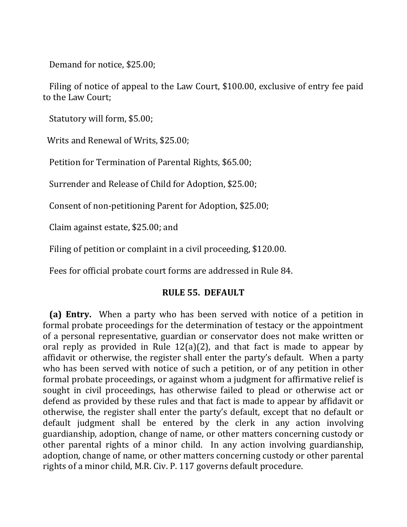Demand for notice, \$25.00;

Filing of notice of appeal to the Law Court, \$100.00, exclusive of entry fee paid to the Law Court;

Statutory will form, \$5.00;

Writs and Renewal of Writs, \$25.00;

Petition for Termination of Parental Rights, \$65.00;

Surrender and Release of Child for Adoption, \$25.00;

Consent of non-petitioning Parent for Adoption, \$25.00;

Claim against estate, \$25.00; and

Filing of petition or complaint in a civil proceeding, \$120.00.

Fees for official probate court forms are addressed in Rule 84.

## **RULE 55. DEFAULT**

**(a) Entry.** When a party who has been served with notice of a petition in formal probate proceedings for the determination of testacy or the appointment of a personal representative, guardian or conservator does not make written or oral reply as provided in Rule  $12(a)(2)$ , and that fact is made to appear by affidavit or otherwise, the register shall enter the party's default. When a party who has been served with notice of such a petition, or of any petition in other formal probate proceedings, or against whom a judgment for affirmative relief is sought in civil proceedings, has otherwise failed to plead or otherwise act or defend as provided by these rules and that fact is made to appear by affidavit or otherwise, the register shall enter the party's default, except that no default or default judgment shall be entered by the clerk in any action involving guardianship, adoption, change of name, or other matters concerning custody or other parental rights of a minor child. In any action involving guardianship, adoption, change of name, or other matters concerning custody or other parental rights of a minor child, M.R. Civ. P. 117 governs default procedure.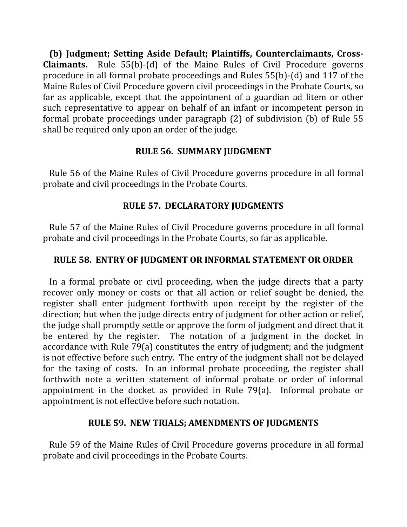(b) Judgment; Setting Aside Default; Plaintiffs, Counterclaimants, Cross-**Claimants.** Rule 55(b)-(d) of the Maine Rules of Civil Procedure governs procedure in all formal probate proceedings and Rules  $55(b)$ -(d) and 117 of the Maine Rules of Civil Procedure govern civil proceedings in the Probate Courts, so far as applicable, except that the appointment of a guardian ad litem or other such representative to appear on behalf of an infant or incompetent person in formal probate proceedings under paragraph  $(2)$  of subdivision  $(b)$  of Rule 55 shall be required only upon an order of the judge.

# **RULE 56. SUMMARY JUDGMENT**

Rule 56 of the Maine Rules of Civil Procedure governs procedure in all formal probate and civil proceedings in the Probate Courts.

# **RULE 57. DECLARATORY JUDGMENTS**

Rule 57 of the Maine Rules of Civil Procedure governs procedure in all formal probate and civil proceedings in the Probate Courts, so far as applicable.

# **RULE 58. ENTRY OF JUDGMENT OR INFORMAL STATEMENT OR ORDER**

In a formal probate or civil proceeding, when the judge directs that a party recover only money or costs or that all action or relief sought be denied, the register shall enter judgment forthwith upon receipt by the register of the direction; but when the judge directs entry of judgment for other action or relief, the judge shall promptly settle or approve the form of judgment and direct that it be entered by the register. The notation of a judgment in the docket in accordance with Rule 79(a) constitutes the entry of judgment; and the judgment is not effective before such entry. The entry of the judgment shall not be delayed for the taxing of costs. In an informal probate proceeding, the register shall forthwith note a written statement of informal probate or order of informal appointment in the docket as provided in Rule  $79(a)$ . Informal probate or appointment is not effective before such notation.

## **RULE 59. NEW TRIALS; AMENDMENTS OF JUDGMENTS**

Rule 59 of the Maine Rules of Civil Procedure governs procedure in all formal probate and civil proceedings in the Probate Courts.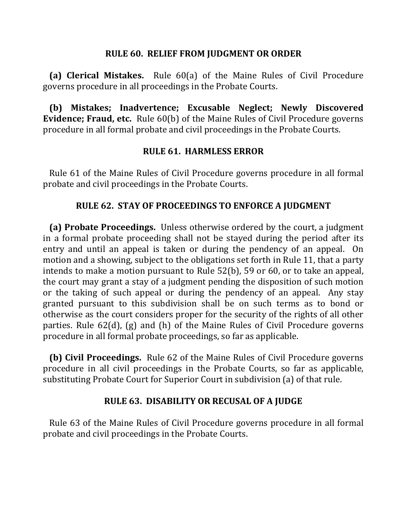#### **RULE 60. RELIEF FROM JUDGMENT OR ORDER**

**(a) Clerical Mistakes.** Rule  $60(a)$  of the Maine Rules of Civil Procedure governs procedure in all proceedings in the Probate Courts.

**(b)** Mistakes; Inadvertence; Excusable Neglect; Newly Discovered **Evidence; Fraud, etc.** Rule 60(b) of the Maine Rules of Civil Procedure governs procedure in all formal probate and civil proceedings in the Probate Courts.

# **RULE 61. HARMLESS ERROR**

Rule 61 of the Maine Rules of Civil Procedure governs procedure in all formal probate and civil proceedings in the Probate Courts.

# **RULE 62. STAY OF PROCEEDINGS TO ENFORCE A JUDGMENT**

**(a) Probate Proceedings.** Unless otherwise ordered by the court, a judgment in a formal probate proceeding shall not be stayed during the period after its entry and until an appeal is taken or during the pendency of an appeal. On motion and a showing, subject to the obligations set forth in Rule 11, that a party intends to make a motion pursuant to Rule  $52(b)$ ,  $59$  or 60, or to take an appeal, the court may grant a stay of a judgment pending the disposition of such motion or the taking of such appeal or during the pendency of an appeal. Any stay granted pursuant to this subdivision shall be on such terms as to bond or otherwise as the court considers proper for the security of the rights of all other parties. Rule  $62(d)$ , (g) and (h) of the Maine Rules of Civil Procedure governs procedure in all formal probate proceedings, so far as applicable.

**(b) Civil Proceedings.** Rule 62 of the Maine Rules of Civil Procedure governs procedure in all civil proceedings in the Probate Courts, so far as applicable, substituting Probate Court for Superior Court in subdivision (a) of that rule.

## **RULE 63. DISABILITY OR RECUSAL OF A JUDGE**

Rule 63 of the Maine Rules of Civil Procedure governs procedure in all formal probate and civil proceedings in the Probate Courts.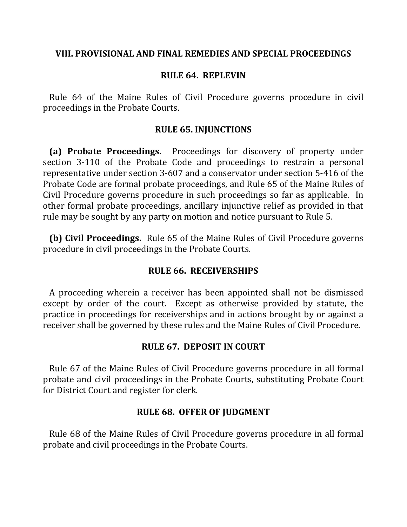#### **VIII. PROVISIONAL AND FINAL REMEDIES AND SPECIAL PROCEEDINGS**

### **RULE 64. REPLEVIN**

Rule 64 of the Maine Rules of Civil Procedure governs procedure in civil proceedings in the Probate Courts.

#### **RULE 65. INJUNCTIONS**

**(a) Probate Proceedings.** Proceedings for discovery of property under section 3-110 of the Probate Code and proceedings to restrain a personal representative under section 3-607 and a conservator under section 5-416 of the Probate Code are formal probate proceedings, and Rule 65 of the Maine Rules of Civil Procedure governs procedure in such proceedings so far as applicable. In other formal probate proceedings, ancillary injunctive relief as provided in that rule may be sought by any party on motion and notice pursuant to Rule 5.

**(b)** Civil Proceedings. Rule 65 of the Maine Rules of Civil Procedure governs procedure in civil proceedings in the Probate Courts.

#### **RULE 66. RECEIVERSHIPS**

A proceeding wherein a receiver has been appointed shall not be dismissed except by order of the court. Except as otherwise provided by statute, the practice in proceedings for receiverships and in actions brought by or against a receiver shall be governed by these rules and the Maine Rules of Civil Procedure.

#### **RULE 67. DEPOSIT IN COURT**

Rule 67 of the Maine Rules of Civil Procedure governs procedure in all formal probate and civil proceedings in the Probate Courts, substituting Probate Court for District Court and register for clerk.

#### **RULE 68. OFFER OF JUDGMENT**

Rule 68 of the Maine Rules of Civil Procedure governs procedure in all formal probate and civil proceedings in the Probate Courts.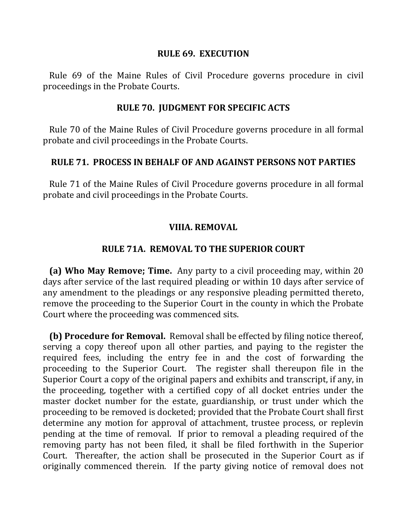#### **RULE 69. EXECUTION**

Rule 69 of the Maine Rules of Civil Procedure governs procedure in civil proceedings in the Probate Courts.

#### **RULE 70. JUDGMENT FOR SPECIFIC ACTS**

Rule 70 of the Maine Rules of Civil Procedure governs procedure in all formal probate and civil proceedings in the Probate Courts.

#### **RULE 71. PROCESS IN BEHALF OF AND AGAINST PERSONS NOT PARTIES**

Rule 71 of the Maine Rules of Civil Procedure governs procedure in all formal probate and civil proceedings in the Probate Courts.

## **VIIIA. REMOVAL**

### **RULE 71A. REMOVAL TO THE SUPERIOR COURT**

**(a) Who May Remove; Time.** Any party to a civil proceeding may, within 20 days after service of the last required pleading or within 10 days after service of any amendment to the pleadings or any responsive pleading permitted thereto, remove the proceeding to the Superior Court in the county in which the Probate Court where the proceeding was commenced sits.

**(b) Procedure for Removal.** Removal shall be effected by filing notice thereof, serving a copy thereof upon all other parties, and paying to the register the required fees, including the entry fee in and the cost of forwarding the proceeding to the Superior Court. The register shall thereupon file in the Superior Court a copy of the original papers and exhibits and transcript, if any, in the proceeding, together with a certified copy of all docket entries under the master docket number for the estate, guardianship, or trust under which the proceeding to be removed is docketed; provided that the Probate Court shall first determine any motion for approval of attachment, trustee process, or replevin pending at the time of removal. If prior to removal a pleading required of the removing party has not been filed, it shall be filed forthwith in the Superior Court. Thereafter, the action shall be prosecuted in the Superior Court as if originally commenced therein. If the party giving notice of removal does not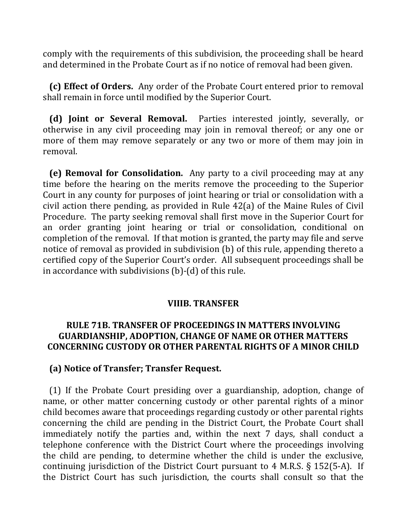comply with the requirements of this subdivision, the proceeding shall be heard and determined in the Probate Court as if no notice of removal had been given.

**(c) Effect of Orders.** Any order of the Probate Court entered prior to removal shall remain in force until modified by the Superior Court.

**(d)** Joint or Several Removal. Parties interested jointly, severally, or otherwise in any civil proceeding may join in removal thereof; or any one or more of them may remove separately or any two or more of them may join in removal.

**(e) Removal for Consolidation.** Any party to a civil proceeding may at any time before the hearing on the merits remove the proceeding to the Superior Court in any county for purposes of joint hearing or trial or consolidation with a civil action there pending, as provided in Rule  $42(a)$  of the Maine Rules of Civil Procedure. The party seeking removal shall first move in the Superior Court for an order granting joint hearing or trial or consolidation, conditional on completion of the removal. If that motion is granted, the party may file and serve notice of removal as provided in subdivision (b) of this rule, appending thereto a certified copy of the Superior Court's order. All subsequent proceedings shall be in accordance with subdivisions  $(b)$ - $(d)$  of this rule.

#### **VIIIB. TRANSFER**

### **RULE 71B. TRANSFER OF PROCEEDINGS IN MATTERS INVOLVING GUARDIANSHIP, ADOPTION, CHANGE OF NAME OR OTHER MATTERS CONCERNING CUSTODY OR OTHER PARENTAL RIGHTS OF A MINOR CHILD**

#### **(a) Notice of Transfer; Transfer Request.**

(1) If the Probate Court presiding over a guardianship, adoption, change of name, or other matter concerning custody or other parental rights of a minor child becomes aware that proceedings regarding custody or other parental rights concerning the child are pending in the District Court, the Probate Court shall immediately notify the parties and, within the next 7 days, shall conduct a telephone conference with the District Court where the proceedings involving the child are pending, to determine whether the child is under the exclusive, continuing jurisdiction of the District Court pursuant to  $4$  M.R.S.  $\S$  152(5-A). If the District Court has such jurisdiction, the courts shall consult so that the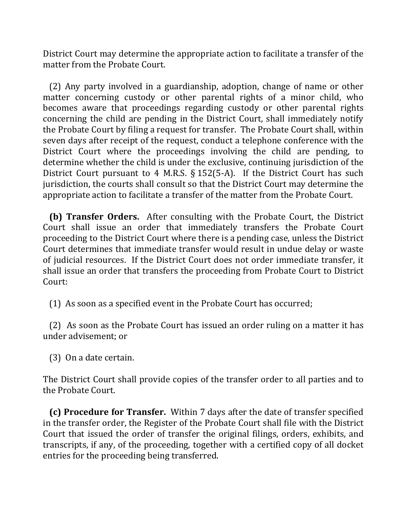District Court may determine the appropriate action to facilitate a transfer of the matter from the Probate Court.

(2) Any party involved in a guardianship, adoption, change of name or other matter concerning custody or other parental rights of a minor child, who becomes aware that proceedings regarding custody or other parental rights concerning the child are pending in the District Court, shall immediately notify the Probate Court by filing a request for transfer. The Probate Court shall, within seven days after receipt of the request, conduct a telephone conference with the District Court where the proceedings involving the child are pending, to determine whether the child is under the exclusive, continuing jurisdiction of the District Court pursuant to 4 M.R.S.  $\S$  152(5-A). If the District Court has such jurisdiction, the courts shall consult so that the District Court may determine the appropriate action to facilitate a transfer of the matter from the Probate Court.

**(b) Transfer Orders.** After consulting with the Probate Court, the District Court shall issue an order that immediately transfers the Probate Court proceeding to the District Court where there is a pending case, unless the District Court determines that immediate transfer would result in undue delay or waste of judicial resources. If the District Court does not order immediate transfer, it shall issue an order that transfers the proceeding from Probate Court to District Court:

(1) As soon as a specified event in the Probate Court has occurred;

(2) As soon as the Probate Court has issued an order ruling on a matter it has under advisement; or

(3) On a date certain.

The District Court shall provide copies of the transfer order to all parties and to the Probate Court.

**(c) Procedure for Transfer.** Within 7 days after the date of transfer specified in the transfer order, the Register of the Probate Court shall file with the District Court that issued the order of transfer the original filings, orders, exhibits, and transcripts, if any, of the proceeding, together with a certified copy of all docket entries for the proceeding being transferred.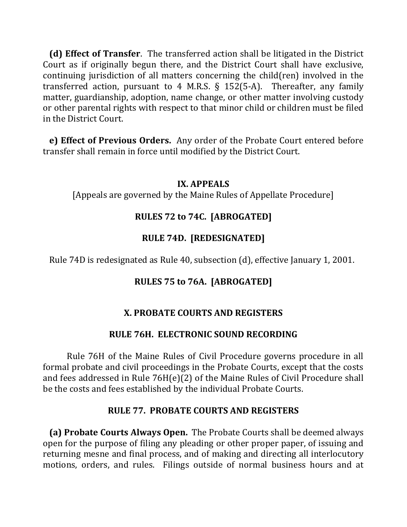**(d)** Effect of Transfer. The transferred action shall be litigated in the District Court as if originally begun there, and the District Court shall have exclusive, continuing jurisdiction of all matters concerning the child(ren) involved in the transferred action, pursuant to 4 M.R.S.  $\S$  152(5-A). Thereafter, any family matter, guardianship, adoption, name change, or other matter involving custody or other parental rights with respect to that minor child or children must be filed in the District Court.

**e) Effect of Previous Orders.** Any order of the Probate Court entered before transfer shall remain in force until modified by the District Court.

### **IX. APPEALS**

[Appeals are governed by the Maine Rules of Appellate Procedure]

# **RULES 72 to 74C. [ABROGATED]**

# **RULE 74D. [REDESIGNATED]**

Rule 74D is redesignated as Rule 40, subsection (d), effective January 1, 2001.

# **RULES 75 to 76A. [ABROGATED]**

# **X. PROBATE COURTS AND REGISTERS**

# **RULE 76H. ELECTRONIC SOUND RECORDING**

Rule 76H of the Maine Rules of Civil Procedure governs procedure in all formal probate and civil proceedings in the Probate Courts, except that the costs and fees addressed in Rule  $76H(e)(2)$  of the Maine Rules of Civil Procedure shall be the costs and fees established by the individual Probate Courts.

# **RULE 77. PROBATE COURTS AND REGISTERS**

**(a) Probate Courts Always Open.** The Probate Courts shall be deemed always open for the purpose of filing any pleading or other proper paper, of issuing and returning mesne and final process, and of making and directing all interlocutory motions, orders, and rules. Filings outside of normal business hours and at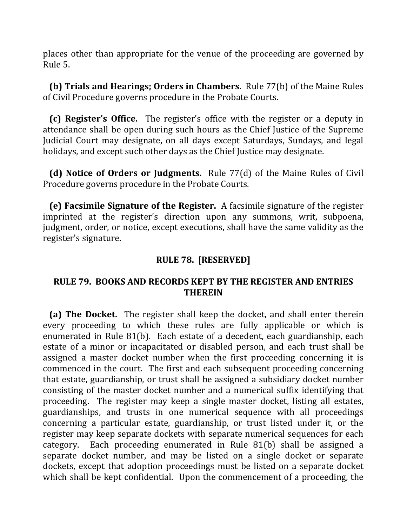places other than appropriate for the venue of the proceeding are governed by Rule 5.

**(b)** Trials and Hearings; Orders in Chambers. Rule 77(b) of the Maine Rules of Civil Procedure governs procedure in the Probate Courts.

**(c) Register's Office.** The register's office with the register or a deputy in attendance shall be open during such hours as the Chief Justice of the Supreme Judicial Court may designate, on all days except Saturdays, Sundays, and legal holidays, and except such other days as the Chief Justice may designate.

**(d) Notice of Orders or Judgments.** Rule 77(d) of the Maine Rules of Civil Procedure governs procedure in the Probate Courts.

**(e) Facsimile Signature of the Register.** A facsimile signature of the register imprinted at the register's direction upon any summons, writ, subpoena, judgment, order, or notice, except executions, shall have the same validity as the register's signature.

# **RULE 78. [RESERVED]**

## **RULE 79. BOOKS AND RECORDS KEPT BY THE REGISTER AND ENTRIES THEREIN**

**(a) The Docket.** The register shall keep the docket, and shall enter therein every proceeding to which these rules are fully applicable or which is enumerated in Rule  $81(b)$ . Each estate of a decedent, each guardianship, each estate of a minor or incapacitated or disabled person, and each trust shall be assigned a master docket number when the first proceeding concerning it is commenced in the court. The first and each subsequent proceeding concerning that estate, guardianship, or trust shall be assigned a subsidiary docket number consisting of the master docket number and a numerical suffix identifying that proceeding. The register may keep a single master docket, listing all estates, guardianships, and trusts in one numerical sequence with all proceedings concerning a particular estate, guardianship, or trust listed under it, or the register may keep separate dockets with separate numerical sequences for each category. Each proceeding enumerated in Rule 81(b) shall be assigned a separate docket number, and may be listed on a single docket or separate dockets, except that adoption proceedings must be listed on a separate docket which shall be kept confidential. Upon the commencement of a proceeding, the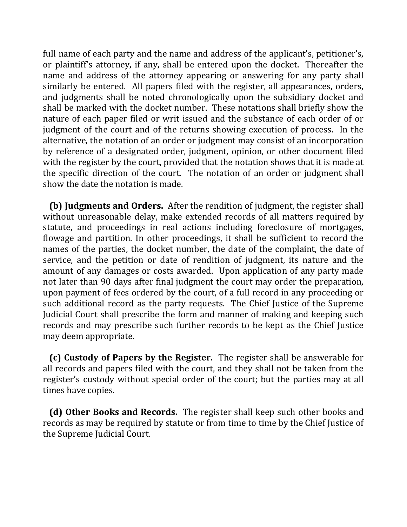full name of each party and the name and address of the applicant's, petitioner's, or plaintiff's attorney, if any, shall be entered upon the docket. Thereafter the name and address of the attorney appearing or answering for any party shall similarly be entered. All papers filed with the register, all appearances, orders, and judgments shall be noted chronologically upon the subsidiary docket and shall be marked with the docket number. These notations shall briefly show the nature of each paper filed or writ issued and the substance of each order of or judgment of the court and of the returns showing execution of process. In the alternative, the notation of an order or judgment may consist of an incorporation by reference of a designated order, judgment, opinion, or other document filed with the register by the court, provided that the notation shows that it is made at the specific direction of the court. The notation of an order or judgment shall show the date the notation is made.

**(b) Judgments and Orders.** After the rendition of judgment, the register shall without unreasonable delay, make extended records of all matters required by statute, and proceedings in real actions including foreclosure of mortgages, flowage and partition. In other proceedings, it shall be sufficient to record the names of the parties, the docket number, the date of the complaint, the date of service, and the petition or date of rendition of judgment, its nature and the amount of any damages or costs awarded. Upon application of any party made not later than 90 days after final judgment the court may order the preparation, upon payment of fees ordered by the court, of a full record in any proceeding or such additional record as the party requests. The Chief Justice of the Supreme Judicial Court shall prescribe the form and manner of making and keeping such records and may prescribe such further records to be kept as the Chief Justice may deem appropriate.

**(c) Custody of Papers by the Register.** The register shall be answerable for all records and papers filed with the court, and they shall not be taken from the register's custody without special order of the court; but the parties may at all times have copies.

**(d) Other Books and Records.** The register shall keep such other books and records as may be required by statute or from time to time by the Chief Justice of the Supreme Judicial Court.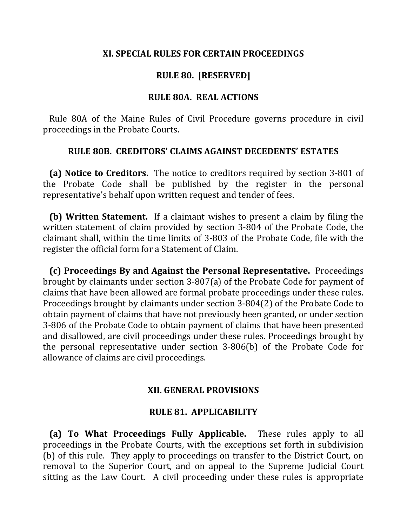#### **XI. SPECIAL RULES FOR CERTAIN PROCEEDINGS**

### **RULE 80. [RESERVED]**

#### **RULE 80A. REAL ACTIONS**

Rule 80A of the Maine Rules of Civil Procedure governs procedure in civil proceedings in the Probate Courts.

#### **RULE 80B. CREDITORS' CLAIMS AGAINST DECEDENTS' ESTATES**

**(a) Notice to Creditors.** The notice to creditors required by section 3-801 of the Probate Code shall be published by the register in the personal representative's behalf upon written request and tender of fees.

**(b)** Written Statement. If a claimant wishes to present a claim by filing the written statement of claim provided by section 3-804 of the Probate Code, the claimant shall, within the time limits of 3-803 of the Probate Code, file with the register the official form for a Statement of Claim.

**(c) Proceedings By and Against the Personal Representative.** Proceedings brought by claimants under section 3-807(a) of the Probate Code for payment of claims that have been allowed are formal probate proceedings under these rules. Proceedings brought by claimants under section 3-804(2) of the Probate Code to obtain payment of claims that have not previously been granted, or under section 3-806 of the Probate Code to obtain payment of claims that have been presented and disallowed, are civil proceedings under these rules. Proceedings brought by the personal representative under section  $3-806(b)$  of the Probate Code for allowance of claims are civil proceedings.

#### **XII. GENERAL PROVISIONS**

#### **RULE 81. APPLICABILITY**

**(a) To What Proceedings Fully Applicable.** These rules apply to all proceedings in the Probate Courts, with the exceptions set forth in subdivision (b) of this rule. They apply to proceedings on transfer to the District Court, on removal to the Superior Court, and on appeal to the Supreme Judicial Court sitting as the Law Court. A civil proceeding under these rules is appropriate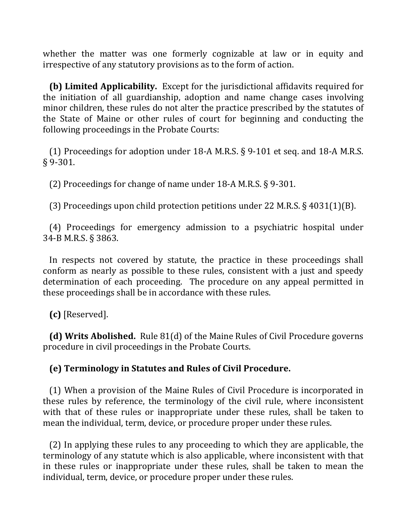whether the matter was one formerly cognizable at law or in equity and irrespective of any statutory provisions as to the form of action.

**(b) Limited Applicability.** Except for the jurisdictional affidavits required for the initiation of all guardianship, adoption and name change cases involving minor children, these rules do not alter the practice prescribed by the statutes of the State of Maine or other rules of court for beginning and conducting the following proceedings in the Probate Courts:

(1) Proceedings for adoption under 18-A M.R.S.  $\S$  9-101 et seq. and 18-A M.R.S. § 9-301.

(2) Proceedings for change of name under  $18-A$  M.R.S. § 9-301.

(3) Proceedings upon child protection petitions under 22 M.R.S.  $\S$  4031(1)(B).

(4) Proceedings for emergency admission to a psychiatric hospital under 34-B M.R.S. § 3863.

In respects not covered by statute, the practice in these proceedings shall conform as nearly as possible to these rules, consistent with a just and speedy determination of each proceeding. The procedure on any appeal permitted in these proceedings shall be in accordance with these rules.

 **(c)** [Reserved].

**(d) Writs Abolished.** Rule 81(d) of the Maine Rules of Civil Procedure governs procedure in civil proceedings in the Probate Courts.

# **(e) Terminology in Statutes and Rules of Civil Procedure.**

(1) When a provision of the Maine Rules of Civil Procedure is incorporated in these rules by reference, the terminology of the civil rule, where inconsistent with that of these rules or inappropriate under these rules, shall be taken to mean the individual, term, device, or procedure proper under these rules.

(2) In applying these rules to any proceeding to which they are applicable, the terminology of any statute which is also applicable, where inconsistent with that in these rules or inappropriate under these rules, shall be taken to mean the individual, term, device, or procedure proper under these rules.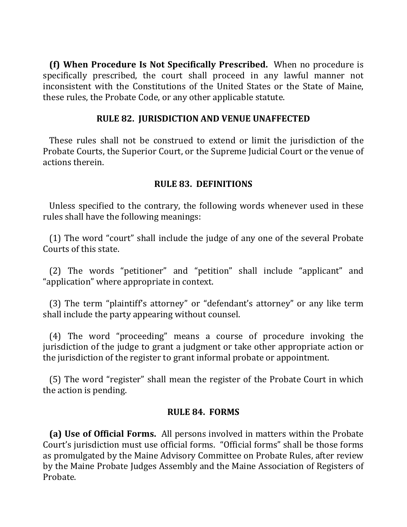**(f) When Procedure Is Not Specifically Prescribed.** When no procedure is specifically prescribed, the court shall proceed in any lawful manner not inconsistent with the Constitutions of the United States or the State of Maine, these rules, the Probate Code, or any other applicable statute.

### **RULE 82. JURISDICTION AND VENUE UNAFFECTED**

These rules shall not be construed to extend or limit the jurisdiction of the Probate Courts, the Superior Court, or the Supreme Judicial Court or the venue of actions therein.

## **RULE 83. DEFINITIONS**

Unless specified to the contrary, the following words whenever used in these rules shall have the following meanings:

(1) The word "court" shall include the judge of any one of the several Probate Courts of this state.

(2) The words "petitioner" and "petition" shall include "applicant" and "application" where appropriate in context.

(3) The term "plaintiff's attorney" or "defendant's attorney" or any like term shall include the party appearing without counsel.

(4) The word "proceeding" means a course of procedure invoking the jurisdiction of the judge to grant a judgment or take other appropriate action or the jurisdiction of the register to grant informal probate or appointment.

(5) The word "register" shall mean the register of the Probate Court in which the action is pending.

#### **RULE 84. FORMS**

**(a) Use of Official Forms.** All persons involved in matters within the Probate Court's jurisdiction must use official forms. "Official forms" shall be those forms as promulgated by the Maine Advisory Committee on Probate Rules, after review by the Maine Probate Judges Assembly and the Maine Association of Registers of Probate.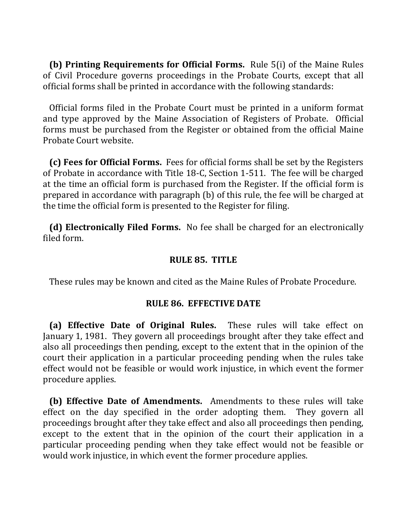**(b) Printing Requirements for Official Forms.** Rule 5(i) of the Maine Rules of Civil Procedure governs proceedings in the Probate Courts, except that all official forms shall be printed in accordance with the following standards:

Official forms filed in the Probate Court must be printed in a uniform format and type approved by the Maine Association of Registers of Probate. Official forms must be purchased from the Register or obtained from the official Maine Probate Court website.

**(c) Fees for Official Forms.** Fees for official forms shall be set by the Registers of Probate in accordance with Title 18-C, Section 1-511. The fee will be charged at the time an official form is purchased from the Register. If the official form is prepared in accordance with paragraph  $(b)$  of this rule, the fee will be charged at the time the official form is presented to the Register for filing.

**(d) Electronically Filed Forms.** No fee shall be charged for an electronically filed form.

#### **RULE 85. TITLE**

These rules may be known and cited as the Maine Rules of Probate Procedure.

#### **RULE 86. EFFECTIVE DATE**

**(a) Effective Date of Original Rules.** These rules will take effect on January 1, 1981. They govern all proceedings brought after they take effect and also all proceedings then pending, except to the extent that in the opinion of the court their application in a particular proceeding pending when the rules take effect would not be feasible or would work injustice, in which event the former procedure applies.

**(b) Effective Date of Amendments.** Amendments to these rules will take effect on the day specified in the order adopting them. They govern all proceedings brought after they take effect and also all proceedings then pending, except to the extent that in the opinion of the court their application in a particular proceeding pending when they take effect would not be feasible or would work injustice, in which event the former procedure applies.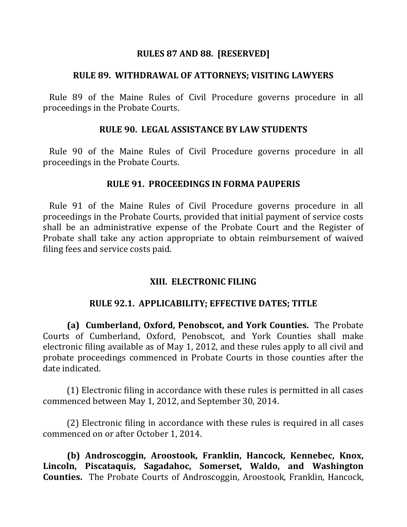#### **RULES 87 AND 88. [RESERVED]**

#### **RULE 89. WITHDRAWAL OF ATTORNEYS; VISITING LAWYERS**

Rule 89 of the Maine Rules of Civil Procedure governs procedure in all proceedings in the Probate Courts.

#### **RULE 90. LEGAL ASSISTANCE BY LAW STUDENTS**

Rule 90 of the Maine Rules of Civil Procedure governs procedure in all proceedings in the Probate Courts.

#### **RULE 91. PROCEEDINGS IN FORMA PAUPERIS**

Rule 91 of the Maine Rules of Civil Procedure governs procedure in all proceedings in the Probate Courts, provided that initial payment of service costs shall be an administrative expense of the Probate Court and the Register of Probate shall take any action appropriate to obtain reimbursement of waived filing fees and service costs paid.

#### **XIII. ELECTRONIC FILING**

#### **RULE 92.1. APPLICABILITY; EFFECTIVE DATES; TITLE**

**(a) Cumberland, Oxford, Penobscot, and York Counties.** The Probate Courts of Cumberland, Oxford, Penobscot, and York Counties shall make electronic filing available as of May 1, 2012, and these rules apply to all civil and probate proceedings commenced in Probate Courts in those counties after the date indicated.

(1) Electronic filing in accordance with these rules is permitted in all cases commenced between May 1, 2012, and September 30, 2014.

(2) Electronic filing in accordance with these rules is required in all cases commenced on or after October 1, 2014.

**(b)** Androscoggin, Aroostook, Franklin, Hancock, Kennebec, Knox, Lincoln, Piscataquis, Sagadahoc, Somerset, Waldo, and Washington **Counties.** The Probate Courts of Androscoggin, Aroostook, Franklin, Hancock,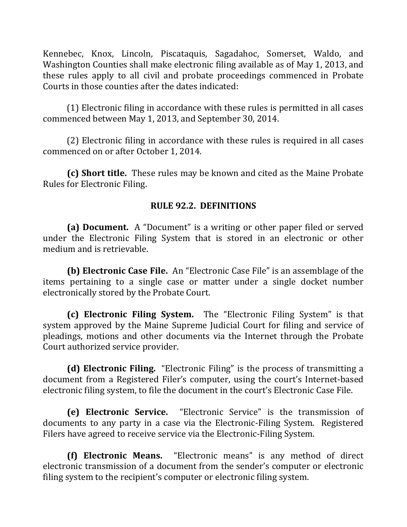Kennebec, Knox, Lincoln, Piscataquis, Sagadahoc, Somerset, Waldo, and Washington Counties shall make electronic filing available as of May 1, 2013, and these rules apply to all civil and probate proceedings commenced in Probate Courts in those counties after the dates indicated:

(1) Electronic filing in accordance with these rules is permitted in all cases commenced between May 1, 2013, and September 30, 2014.

(2) Electronic filing in accordance with these rules is required in all cases commenced on or after October 1, 2014.

**(c) Short title.** These rules may be known and cited as the Maine Probate Rules for Electronic Filing.

# **RULE 92.2. DEFINITIONS**

**(a) Document.** A "Document" is a writing or other paper filed or served under the Electronic Filing System that is stored in an electronic or other medium and is retrievable.

**(b) Electronic Case File.** An "Electronic Case File" is an assemblage of the items pertaining to a single case or matter under a single docket number electronically stored by the Probate Court.

**(c) Electronic Filing System.** The "Electronic Filing System" is that system approved by the Maine Supreme Judicial Court for filing and service of pleadings, motions and other documents via the Internet through the Probate Court authorized service provider.

**(d) Electronic Filing.** "Electronic Filing" is the process of transmitting a document from a Registered Filer's computer, using the court's Internet-based electronic filing system, to file the document in the court's Electronic Case File.

**(e) Electronic Service.** "Electronic Service" is the transmission of documents to any party in a case via the Electronic-Filing System. Registered Filers have agreed to receive service via the Electronic-Filing System.

**(f) Electronic Means.** "Electronic means" is any method of direct electronic transmission of a document from the sender's computer or electronic filing system to the recipient's computer or electronic filing system.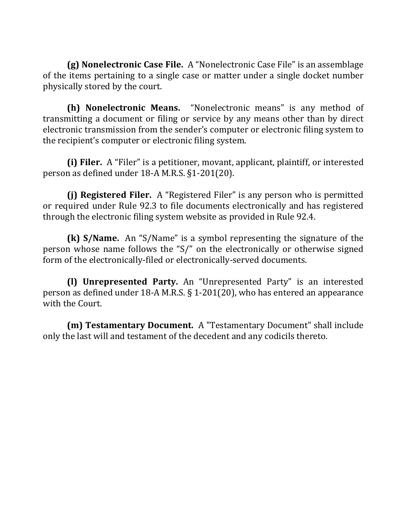**(g) Nonelectronic Case File.** A "Nonelectronic Case File" is an assemblage of the items pertaining to a single case or matter under a single docket number physically stored by the court.

**(h) Nonelectronic Means.** "Nonelectronic means" is any method of transmitting a document or filing or service by any means other than by direct electronic transmission from the sender's computer or electronic filing system to the recipient's computer or electronic filing system.

**(i)** Filer. A "Filer" is a petitioner, movant, applicant, plaintiff, or interested person as defined under  $18-A$  M.R.S.  $\S1-201(20)$ .

**(i)** Registered Filer. A "Registered Filer" is any person who is permitted or required under Rule 92.3 to file documents electronically and has registered through the electronic filing system website as provided in Rule 92.4.

**(k) S/Name.** An "S/Name" is a symbol representing the signature of the person whose name follows the "S/" on the electronically or otherwise signed form of the electronically-filed or electronically-served documents.

**(I) Unrepresented Party.** An "Unrepresented Party" is an interested person as defined under 18-A M.R.S.  $\S$  1-201(20), who has entered an appearance with the Court.

**(m) Testamentary Document.** A "Testamentary Document" shall include only the last will and testament of the decedent and any codicils thereto.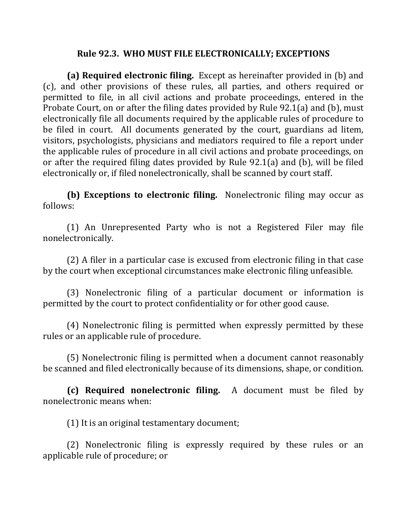#### Rule 92.3. WHO MUST FILE ELECTRONICALLY; EXCEPTIONS

**(a)** Required electronic filing. Except as hereinafter provided in (b) and (c), and other provisions of these rules, all parties, and others required or permitted to file, in all civil actions and probate proceedings, entered in the Probate Court, on or after the filing dates provided by Rule 92.1(a) and (b), must electronically file all documents required by the applicable rules of procedure to be filed in court. All documents generated by the court, guardians ad litem, visitors, psychologists, physicians and mediators required to file a report under the applicable rules of procedure in all civil actions and probate proceedings, on or after the required filing dates provided by Rule  $92.1(a)$  and (b), will be filed electronically or, if filed nonelectronically, shall be scanned by court staff.

**(b) Exceptions to electronic filing.** Nonelectronic filing may occur as follows:

(1) An Unrepresented Party who is not a Registered Filer may file nonelectronically.

 $(2)$  A filer in a particular case is excused from electronic filing in that case by the court when exceptional circumstances make electronic filing unfeasible.

(3) Nonelectronic filing of a particular document or information is permitted by the court to protect confidentiality or for other good cause.

(4) Nonelectronic filing is permitted when expressly permitted by these rules or an applicable rule of procedure.

(5) Nonelectronic filing is permitted when a document cannot reasonably be scanned and filed electronically because of its dimensions, shape, or condition.

**(c)** Required nonelectronic filing. A document must be filed by nonelectronic means when:

 $(1)$  It is an original testamentary document;

(2) Nonelectronic filing is expressly required by these rules or an applicable rule of procedure; or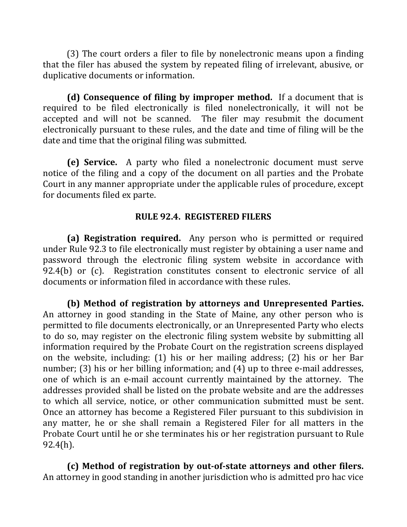(3) The court orders a filer to file by nonelectronic means upon a finding that the filer has abused the system by repeated filing of irrelevant, abusive, or duplicative documents or information.

**(d) Consequence of filing by improper method.** If a document that is required to be filed electronically is filed nonelectronically, it will not be accepted and will not be scanned. The filer may resubmit the document electronically pursuant to these rules, and the date and time of filing will be the date and time that the original filing was submitted.

**(e) Service.** A party who filed a nonelectronic document must serve notice of the filing and a copy of the document on all parties and the Probate Court in any manner appropriate under the applicable rules of procedure, except for documents filed ex parte.

### **RULE 92.4. REGISTERED FILERS**

**(a)** Registration required. Any person who is permitted or required under Rule 92.3 to file electronically must register by obtaining a user name and password through the electronic filing system website in accordance with 92.4(b) or (c). Registration constitutes consent to electronic service of all documents or information filed in accordance with these rules.

**(b)** Method of registration by attorneys and Unrepresented Parties. An attorney in good standing in the State of Maine, any other person who is permitted to file documents electronically, or an Unrepresented Party who elects to do so, may register on the electronic filing system website by submitting all information required by the Probate Court on the registration screens displayed on the website, including:  $(1)$  his or her mailing address;  $(2)$  his or her Bar number; (3) his or her billing information; and  $(4)$  up to three e-mail addresses, one of which is an e-mail account currently maintained by the attorney. The addresses provided shall be listed on the probate website and are the addresses to which all service, notice, or other communication submitted must be sent. Once an attorney has become a Registered Filer pursuant to this subdivision in any matter, he or she shall remain a Registered Filer for all matters in the Probate Court until he or she terminates his or her registration pursuant to Rule 92.4(h).

**(c)** Method of registration by out-of-state attorneys and other filers. An attorney in good standing in another jurisdiction who is admitted pro hac vice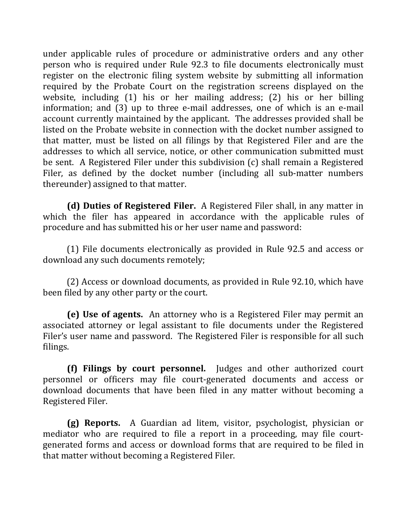under applicable rules of procedure or administrative orders and any other person who is required under Rule 92.3 to file documents electronically must register on the electronic filing system website by submitting all information required by the Probate Court on the registration screens displayed on the website, including (1) his or her mailing address; (2) his or her billing information; and  $(3)$  up to three e-mail addresses, one of which is an e-mail account currently maintained by the applicant. The addresses provided shall be listed on the Probate website in connection with the docket number assigned to that matter, must be listed on all filings by that Registered Filer and are the addresses to which all service, notice, or other communication submitted must be sent. A Registered Filer under this subdivision  $(c)$  shall remain a Registered Filer, as defined by the docket number (including all sub-matter numbers thereunder) assigned to that matter.

**(d)** Duties of Registered Filer. A Registered Filer shall, in any matter in which the filer has appeared in accordance with the applicable rules of procedure and has submitted his or her user name and password:

(1) File documents electronically as provided in Rule 92.5 and access or download any such documents remotely;

(2) Access or download documents, as provided in Rule 92.10, which have been filed by any other party or the court.

**(e)** Use of agents. An attorney who is a Registered Filer may permit an associated attorney or legal assistant to file documents under the Registered Filer's user name and password. The Registered Filer is responsible for all such filings.

**(f)** Filings by court personnel. Judges and other authorized court personnel or officers may file court-generated documents and access or download documents that have been filed in any matter without becoming a Registered Filer.

**(g) Reports.** A Guardian ad litem, visitor, psychologist, physician or mediator who are required to file a report in a proceeding, may file courtgenerated forms and access or download forms that are required to be filed in that matter without becoming a Registered Filer.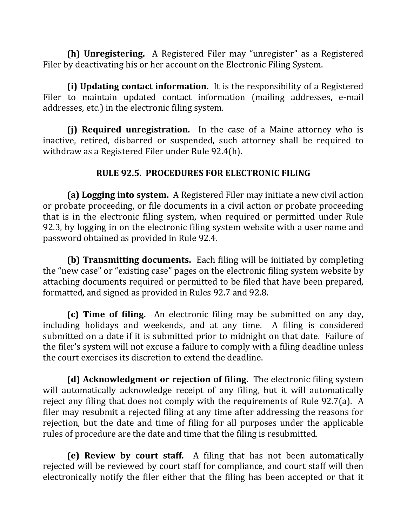**(h) Unregistering.** A Registered Filer may "unregister" as a Registered Filer by deactivating his or her account on the Electronic Filing System.

**(i)** Updating contact information. It is the responsibility of a Registered Filer to maintain updated contact information (mailing addresses, e-mail addresses, etc.) in the electronic filing system.

**(i)** Required unregistration. In the case of a Maine attorney who is inactive, retired, disbarred or suspended, such attorney shall be required to withdraw as a Registered Filer under Rule 92.4(h).

# **RULE 92.5. PROCEDURES FOR ELECTRONIC FILING**

**(a)** Logging into system. A Registered Filer may initiate a new civil action or probate proceeding, or file documents in a civil action or probate proceeding that is in the electronic filing system, when required or permitted under Rule 92.3, by logging in on the electronic filing system website with a user name and password obtained as provided in Rule 92.4.

**(b) Transmitting documents.** Each filing will be initiated by completing the "new case" or "existing case" pages on the electronic filing system website by attaching documents required or permitted to be filed that have been prepared, formatted, and signed as provided in Rules 92.7 and 92.8.

**(c) Time of filing.** An electronic filing may be submitted on any day, including holidays and weekends, and at any time. A filing is considered submitted on a date if it is submitted prior to midnight on that date. Failure of the filer's system will not excuse a failure to comply with a filing deadline unless the court exercises its discretion to extend the deadline.

**(d)** Acknowledgment or rejection of filing. The electronic filing system will automatically acknowledge receipt of any filing, but it will automatically reject any filing that does not comply with the requirements of Rule 92.7(a). A filer may resubmit a rejected filing at any time after addressing the reasons for rejection, but the date and time of filing for all purposes under the applicable rules of procedure are the date and time that the filing is resubmitted.

**(e)** Review by court staff. A filing that has not been automatically rejected will be reviewed by court staff for compliance, and court staff will then electronically notify the filer either that the filing has been accepted or that it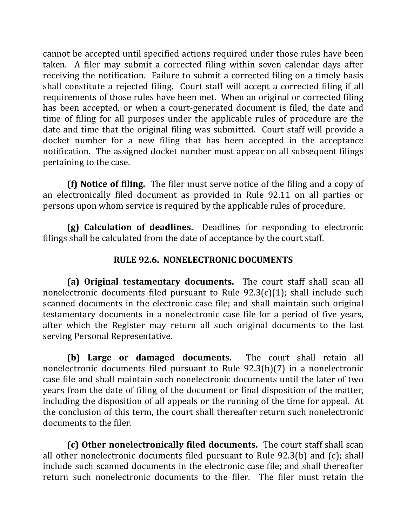cannot be accepted until specified actions required under those rules have been taken. A filer may submit a corrected filing within seven calendar days after receiving the notification. Failure to submit a corrected filing on a timely basis shall constitute a rejected filing. Court staff will accept a corrected filing if all requirements of those rules have been met. When an original or corrected filing has been accepted, or when a court-generated document is filed, the date and time of filing for all purposes under the applicable rules of procedure are the date and time that the original filing was submitted. Court staff will provide a docket number for a new filing that has been accepted in the acceptance notification. The assigned docket number must appear on all subsequent filings pertaining to the case.

**(f)** Notice of filing. The filer must serve notice of the filing and a copy of an electronically filed document as provided in Rule 92.11 on all parties or persons upon whom service is required by the applicable rules of procedure.

**(g)** Calculation of deadlines. Deadlines for responding to electronic filings shall be calculated from the date of acceptance by the court staff.

# **RULE 92.6. NONELECTRONIC DOCUMENTS**

**(a) Original testamentary documents.** The court staff shall scan all nonelectronic documents filed pursuant to Rule  $92.3(c)(1)$ ; shall include such scanned documents in the electronic case file; and shall maintain such original testamentary documents in a nonelectronic case file for a period of five years, after which the Register may return all such original documents to the last serving Personal Representative.

**(b)** Large or damaged documents. The court shall retain all nonelectronic documents filed pursuant to Rule  $92.3(b)(7)$  in a nonelectronic case file and shall maintain such nonelectronic documents until the later of two years from the date of filing of the document or final disposition of the matter, including the disposition of all appeals or the running of the time for appeal. At the conclusion of this term, the court shall thereafter return such nonelectronic documents to the filer.

**(c)** Other nonelectronically filed documents. The court staff shall scan all other nonelectronic documents filed pursuant to Rule  $92.3(b)$  and  $(c)$ ; shall include such scanned documents in the electronic case file; and shall thereafter return such nonelectronic documents to the filer. The filer must retain the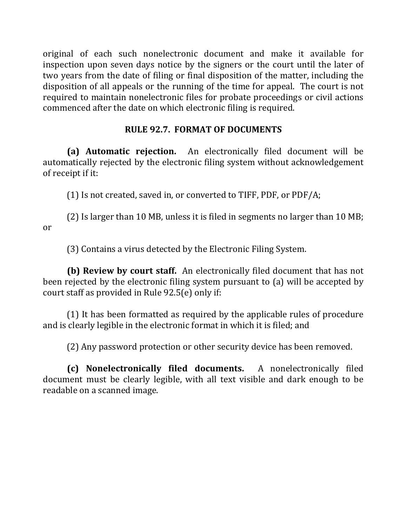original of each such nonelectronic document and make it available for inspection upon seven days notice by the signers or the court until the later of two years from the date of filing or final disposition of the matter, including the disposition of all appeals or the running of the time for appeal. The court is not required to maintain nonelectronic files for probate proceedings or civil actions commenced after the date on which electronic filing is required.

# **RULE 92.7. FORMAT OF DOCUMENTS**

**(a) Automatic rejection.** An electronically filed document will be automatically rejected by the electronic filing system without acknowledgement of receipt if it:

(1) Is not created, saved in, or converted to TIFF, PDF, or PDF/A;

(2) Is larger than 10 MB, unless it is filed in segments no larger than 10 MB; or

(3) Contains a virus detected by the Electronic Filing System.

**(b)** Review by court staff. An electronically filed document that has not been rejected by the electronic filing system pursuant to (a) will be accepted by court staff as provided in Rule  $92.5(e)$  only if:

(1) It has been formatted as required by the applicable rules of procedure and is clearly legible in the electronic format in which it is filed; and

(2) Any password protection or other security device has been removed.

**(c) Nonelectronically filed documents.**  A nonelectronically filed document must be clearly legible, with all text visible and dark enough to be readable on a scanned image.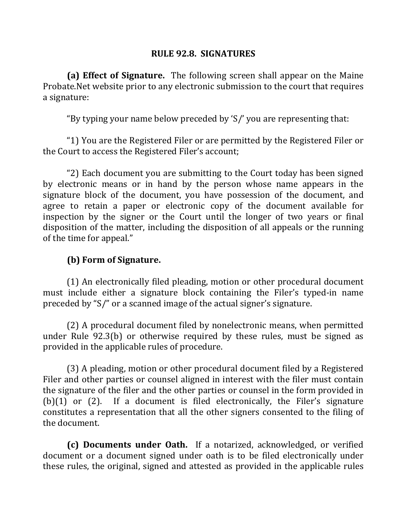## **RULE 92.8. SIGNATURES**

**(a)** Effect of Signature. The following screen shall appear on the Maine Probate. Net website prior to any electronic submission to the court that requires a signature:

"By typing your name below preceded by 'S/' you are representing that:

"1) You are the Registered Filer or are permitted by the Registered Filer or the Court to access the Registered Filer's account;

"2) Each document you are submitting to the Court today has been signed by electronic means or in hand by the person whose name appears in the signature block of the document, you have possession of the document, and agree to retain a paper or electronic copy of the document available for inspection by the signer or the Court until the longer of two years or final disposition of the matter, including the disposition of all appeals or the running of the time for appeal."

# **(b) Form of Signature.**

(1) An electronically filed pleading, motion or other procedural document must include either a signature block containing the Filer's typed-in name preceded by "S/" or a scanned image of the actual signer's signature.

(2) A procedural document filed by nonelectronic means, when permitted under Rule  $92.3(b)$  or otherwise required by these rules, must be signed as provided in the applicable rules of procedure.

(3) A pleading, motion or other procedural document filed by a Registered Filer and other parties or counsel aligned in interest with the filer must contain the signature of the filer and the other parties or counsel in the form provided in  $(b)(1)$  or  $(2)$ . If a document is filed electronically, the Filer's signature constitutes a representation that all the other signers consented to the filing of the document.

**(c)** Documents under Oath. If a notarized, acknowledged, or verified document or a document signed under oath is to be filed electronically under these rules, the original, signed and attested as provided in the applicable rules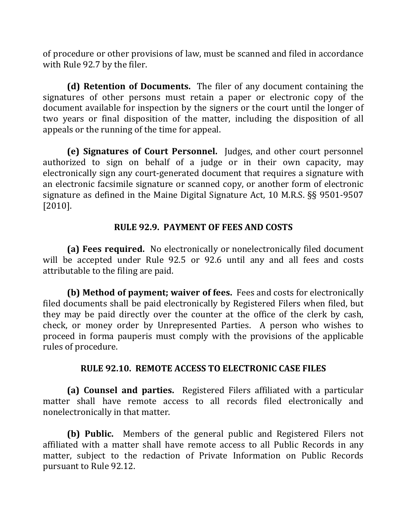of procedure or other provisions of law, must be scanned and filed in accordance with Rule 92.7 by the filer.

**(d) Retention of Documents.** The filer of any document containing the signatures of other persons must retain a paper or electronic copy of the document available for inspection by the signers or the court until the longer of two years or final disposition of the matter, including the disposition of all appeals or the running of the time for appeal.

**(e) Signatures of Court Personnel.** Judges, and other court personnel authorized to sign on behalf of a judge or in their own capacity, may electronically sign any court-generated document that requires a signature with an electronic facsimile signature or scanned copy, or another form of electronic signature as defined in the Maine Digital Signature Act, 10 M.R.S.  $\S$ § 9501-9507 [2010].

# **RULE 92.9. PAYMENT OF FEES AND COSTS**

**(a)** Fees required. No electronically or nonelectronically filed document will be accepted under Rule 92.5 or 92.6 until any and all fees and costs attributable to the filing are paid.

**(b)** Method of payment; waiver of fees. Fees and costs for electronically filed documents shall be paid electronically by Registered Filers when filed, but they may be paid directly over the counter at the office of the clerk by cash, check, or money order by Unrepresented Parties. A person who wishes to proceed in forma pauperis must comply with the provisions of the applicable rules of procedure.

## **RULE 92.10. REMOTE ACCESS TO ELECTRONIC CASE FILES**

**(a) Counsel and parties.** Registered Filers affiliated with a particular matter shall have remote access to all records filed electronically and nonelectronically in that matter.

**(b)** Public. Members of the general public and Registered Filers not affiliated with a matter shall have remote access to all Public Records in any matter, subject to the redaction of Private Information on Public Records pursuant to Rule 92.12.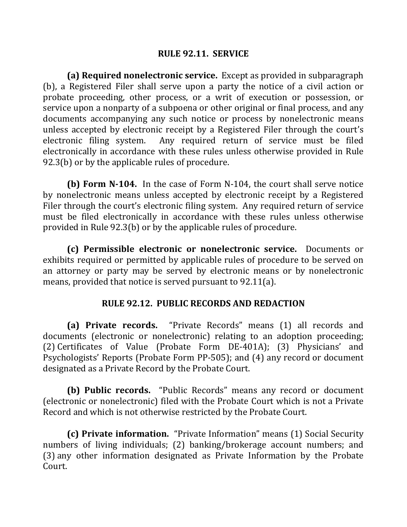### **RULE 92.11. SERVICE**

**(a) Required nonelectronic service.** Except as provided in subparagraph (b), a Registered Filer shall serve upon a party the notice of a civil action or probate proceeding, other process, or a writ of execution or possession, or service upon a nonparty of a subpoena or other original or final process, and any documents accompanying any such notice or process by nonelectronic means unless accepted by electronic receipt by a Registered Filer through the court's electronic filing system. Any required return of service must be filed electronically in accordance with these rules unless otherwise provided in Rule  $92.3(b)$  or by the applicable rules of procedure.

**(b)** Form N-104. In the case of Form N-104, the court shall serve notice by nonelectronic means unless accepted by electronic receipt by a Registered Filer through the court's electronic filing system. Any required return of service must be filed electronically in accordance with these rules unless otherwise provided in Rule  $92.3(b)$  or by the applicable rules of procedure.

**(c)** Permissible electronic or nonelectronic service. Documents or exhibits required or permitted by applicable rules of procedure to be served on an attorney or party may be served by electronic means or by nonelectronic means, provided that notice is served pursuant to  $92.11(a)$ .

## **RULE 92.12. PUBLIC RECORDS AND REDACTION**

**(a) Private records.** "Private Records" means (1) all records and documents (electronic or nonelectronic) relating to an adoption proceeding; (2) Certificates of Value (Probate Form DE-401A); (3) Physicians' and Psychologists' Reports (Probate Form PP-505); and (4) any record or document designated as a Private Record by the Probate Court.

**(b)** Public records. "Public Records" means any record or document (electronic or nonelectronic) filed with the Probate Court which is not a Private Record and which is not otherwise restricted by the Probate Court.

**(c)** Private information. "Private Information" means (1) Social Security numbers of living individuals; (2) banking/brokerage account numbers; and (3) any other information designated as Private Information by the Probate Court.